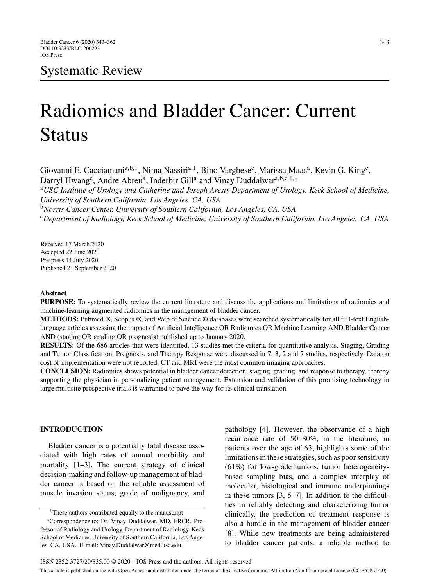# Radiomics and Bladder Cancer: Current Status

Giovanni E. Cacciamani<sup>a,b,1</sup>, Nima Nassiri<sup>a,1</sup>, Bino Varghese<sup>c</sup>, Marissa Maas<sup>a</sup>, Kevin G. King<sup>c</sup>, Darryl Hwang<sup>c</sup>, Andre Abreu<sup>a</sup>, Inderbir Gill<sup>a</sup> and Vinay Duddalwar<sup>a,b,c,1,</sup>\*

<sup>a</sup>*USC Institute of Urology and Catherine and Joseph Aresty Department of Urology, Keck School of Medicine, University of Southern California, Los Angeles, CA, USA*

<sup>b</sup>*Norris Cancer Center, University of Southern California, Los Angeles, CA, USA* <sup>c</sup>*Department of Radiology, Keck School of Medicine, University of Southern California, Los Angeles, CA, USA*

Received 17 March 2020 Accepted 22 June 2020 Pre-press 14 July 2020 Published 21 September 2020

# **Abstract**.

**PURPOSE:** To systematically review the current literature and discuss the applications and limitations of radiomics and machine-learning augmented radiomics in the management of bladder cancer.

**METHODS:** Pubmed ®, Scopus ®, and Web of Science ® databases were searched systematically for all full-text Englishlanguage articles assessing the impact of Artificial Intelligence OR Radiomics OR Machine Learning AND Bladder Cancer AND (staging OR grading OR prognosis) published up to January 2020.

**RESULTS:** Of the 686 articles that were identified, 13 studies met the criteria for quantitative analysis. Staging, Grading and Tumor Classification, Prognosis, and Therapy Response were discussed in 7, 3, 2 and 7 studies, respectively. Data on cost of implementation were not reported. CT and MRI were the most common imaging approaches.

**CONCLUSION:** Radiomics shows potential in bladder cancer detection, staging, grading, and response to therapy, thereby supporting the physician in personalizing patient management. Extension and validation of this promising technology in large multisite prospective trials is warranted to pave the way for its clinical translation.

# **INTRODUCTION**

Bladder cancer is a potentially fatal disease associated with high rates of annual morbidity and mortality [1–3]. The current strategy of clinical decision-making and follow-up management of bladder cancer is based on the reliable assessment of muscle invasion status, grade of malignancy, and

<sup>1</sup>These authors contributed equally to the manuscript

pathology [4]. However, the observance of a high recurrence rate of 50–80%, in the literature, in patients over the age of 65, highlights some of the limitations in these strategies, such as poor sensitivity (61%) for low-grade tumors, tumor heterogeneitybased sampling bias, and a complex interplay of molecular, histological and immune underpinnings in these tumors [3, 5–7]. In addition to the difficulties in reliably detecting and characterizing tumor clinically, the prediction of treatment response is also a hurdle in the management of bladder cancer [8]. While new treatments are being administered to bladder cancer patients, a reliable method to

<sup>∗</sup>Correspondence to: Dr. Vinay Duddalwar, MD, FRCR, Professor of Radiology and Urology, Department of Radiology, Keck School of Medicine, University of Southern California, Los Angeles, CA, USA. E-mail: [Vinay.Duddalwar@med.usc.edu.](mailto:Vinay.Duddalwar@med.usc.edu)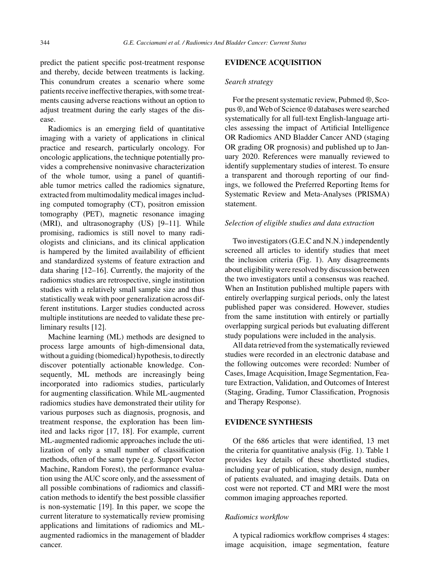predict the patient specific post-treatment response and thereby, decide between treatments is lacking. This conundrum creates a scenario where some patients receive ineffective therapies, with some treatments causing adverse reactions without an option to adjust treatment during the early stages of the disease.

Radiomics is an emerging field of quantitative imaging with a variety of applications in clinical practice and research, particularly oncology. For oncologic applications, the technique potentially provides a comprehensive noninvasive characterization of the whole tumor, using a panel of quantifiable tumor metrics called the radiomics signature, extracted from multimodality medical images including computed tomography (CT), positron emission tomography (PET), magnetic resonance imaging (MRI), and ultrasonography (US) [9–11]. While promising, radiomics is still novel to many radiologists and clinicians, and its clinical application is hampered by the limited availability of efficient and standardized systems of feature extraction and data sharing [12–16]. Currently, the majority of the radiomics studies are retrospective, single institution studies with a relatively small sample size and thus statistically weak with poor generalization across different institutions. Larger studies conducted across multiple institutions are needed to validate these preliminary results [12].

Machine learning (ML) methods are designed to process large amounts of high-dimensional data, without a guiding (biomedical) hypothesis, to directly discover potentially actionable knowledge. Consequently, ML methods are increasingly being incorporated into radiomics studies, particularly for augmenting classification. While ML-augmented radiomics studies have demonstrated their utility for various purposes such as diagnosis, prognosis, and treatment response, the exploration has been limited and lacks rigor [17, 18]. For example, current ML-augmented radiomic approaches include the utilization of only a small number of classification methods, often of the same type (e.g. Support Vector Machine, Random Forest), the performance evaluation using the AUC score only, and the assessment of all possible combinations of radiomics and classification methods to identify the best possible classifier is non-systematic [19]. In this paper, we scope the current literature to systematically review promising applications and limitations of radiomics and MLaugmented radiomics in the management of bladder cancer.

## **EVIDENCE ACQUISITION**

#### *Search strategy*

For the present systematic review, Pubmed ®, Scopus ®, and Web of Science ® databases were searched systematically for all full-text English-language articles assessing the impact of Artificial Intelligence OR Radiomics AND Bladder Cancer AND (staging OR grading OR prognosis) and published up to January 2020. References were manually reviewed to identify supplementary studies of interest. To ensure a transparent and thorough reporting of our findings, we followed the Preferred Reporting Items for Systematic Review and Meta-Analyses (PRISMA) statement.

## *Selection of eligible studies and data extraction*

Two investigators (G.E.C and N.N.) independently screened all articles to identify studies that meet the inclusion criteria (Fig. 1). Any disagreements about eligibility were resolved by discussion between the two investigators until a consensus was reached. When an Institution published multiple papers with entirely overlapping surgical periods, only the latest published paper was considered. However, studies from the same institution with entirely or partially overlapping surgical periods but evaluating different study populations were included in the analysis.

All data retrieved from the systematically reviewed studies were recorded in an electronic database and the following outcomes were recorded: Number of Cases, Image Acquisition, Image Segmentation, Feature Extraction, Validation, and Outcomes of Interest (Staging, Grading, Tumor Classification, Prognosis and Therapy Response).

# **EVIDENCE SYNTHESIS**

Of the 686 articles that were identified, 13 met the criteria for quantitative analysis (Fig. 1). Table 1 provides key details of these shortlisted studies, including year of publication, study design, number of patients evaluated, and imaging details. Data on cost were not reported. CT and MRI were the most common imaging approaches reported.

## *Radiomics workflow*

A typical radiomics workflow comprises 4 stages: image acquisition, image segmentation, feature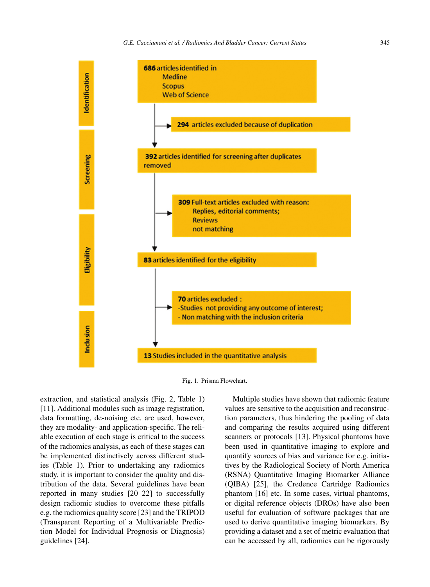



extraction, and statistical analysis (Fig. 2, Table 1) [11]. Additional modules such as image registration, data formatting, de-noising etc. are used, however, they are modality- and application-specific. The reliable execution of each stage is critical to the success of the radiomics analysis, as each of these stages can be implemented distinctively across different studies (Table 1). Prior to undertaking any radiomics study, it is important to consider the quality and distribution of the data. Several guidelines have been reported in many studies [20–22] to successfully design radiomic studies to overcome these pitfalls e.g. the radiomics quality score [23] and the TRIPOD (Transparent Reporting of a Multivariable Prediction Model for Individual Prognosis or Diagnosis) guidelines [24].

Multiple studies have shown that radiomic feature values are sensitive to the acquisition and reconstruction parameters, thus hindering the pooling of data and comparing the results acquired using different scanners or protocols [13]. Physical phantoms have been used in quantitative imaging to explore and quantify sources of bias and variance for e.g. initiatives by the Radiological Society of North America (RSNA) Quantitative Imaging Biomarker Alliance (QIBA) [25], the Credence Cartridge Radiomics phantom [16] etc. In some cases, virtual phantoms, or digital reference objects (DROs) have also been useful for evaluation of software packages that are used to derive quantitative imaging biomarkers. By providing a dataset and a set of metric evaluation that can be accessed by all, radiomics can be rigorously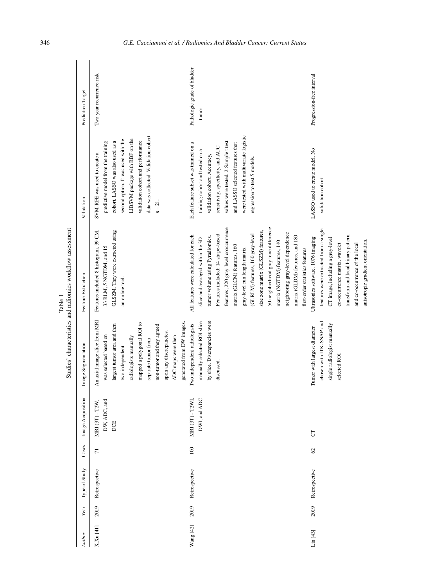| Author    | Year | Type of Study | Cases          | Image Acquisition                                | Image Segmentation                                                                                                                                                                                                                                                                                | Feature Extraction                                                                                                                                                                                                                                                                                                                                                                                                                                                                                                     | Validation                                                                                                                                                                                                                                                                                        | Prediction Target                    |
|-----------|------|---------------|----------------|--------------------------------------------------|---------------------------------------------------------------------------------------------------------------------------------------------------------------------------------------------------------------------------------------------------------------------------------------------------|------------------------------------------------------------------------------------------------------------------------------------------------------------------------------------------------------------------------------------------------------------------------------------------------------------------------------------------------------------------------------------------------------------------------------------------------------------------------------------------------------------------------|---------------------------------------------------------------------------------------------------------------------------------------------------------------------------------------------------------------------------------------------------------------------------------------------------|--------------------------------------|
| X.Xu [41] | 2019 | Retrospective | $\overline{7}$ | DW, ADC, and<br>T2W,<br><b>MRI</b> (3T) -<br>DCE | An axial image slice from MRI<br>generated from DW images.<br>mapped a polygonal ROI to<br>largest tumor area and then<br>non-turnor and they agreed<br>upon any discrepancies.<br>was selected based on<br>ADC maps were then<br>radiologists manually<br>separate tumor from<br>two independent | Features included 8 histogram, 39 CM,<br>GLSZM. They were extracted using<br>33 RLM, 5 NGTDM, and 15<br>an online tool.                                                                                                                                                                                                                                                                                                                                                                                                | data was collected. Validation cohort<br>LIBSVM package with RBF on the<br>second option. It was used with the<br>validation cohort and performance<br>cohort. LASSO was also used as a<br>predictive model from the training<br>SVM-RFE was used to create a<br>$n = 21$ .                       | Two year recurrence risk             |
| Wang [42] | 2019 | Retrospective | 100            | MRI (3T) - T2WI,<br><b>I ADC</b><br>DWI, and     | by slice. Discrepancies were<br>manually selected ROI slice<br>Two independent radiologists<br>discussed.                                                                                                                                                                                         | features, 220 gray-level cooccurrence<br>50 neighborhood gray tone difference<br>size zone matrix (GLSZM) features,<br>neighboring gray-level dependence<br>(GLRLM) features, 160 gray-level<br>Features included: 14 shape-based<br>All features were calculated for each<br>matrix (GLDM) features, and 180<br>tumor volume using Pyradiomics.<br>slice and averaged within the 3D<br>matrix (NGTDM) features, 140<br>matrix (GLCM) features, 160<br>gray-level run length matrix<br>first-order statistics features | were tested with multivariate logistic<br>values were tested. 2-Sample t test<br>Each feature subset was trained on a<br>and LASSO selected features that<br>sensitivity, specificity, and AUC<br>training cohort and tested on a<br>validation cohort. Accuracy,<br>regression to test 5 models. | Pathologic grade of bladder<br>tumor |
| Lin [43]  | 2019 | Retrospective | 62             | $\overline{\text{C}}$                            | chosen with ITK-SNAP and<br>single radiologist manually<br>Tumor with largest diameter<br>selected ROI                                                                                                                                                                                            | features were extracted from a single<br>transform and local binary pattern<br>Ultrasonics software. 1076 imaging<br>CT image, including a grey-level<br>anisotropic gradient orientation.<br>co-occurrence matrix, wavelet<br>and co-occurrence of the local                                                                                                                                                                                                                                                          | LASSO used to create model. No<br>validation cohort.                                                                                                                                                                                                                                              | Progression-free interval            |

Table 1<br>Studies' characteristics and radiomics workflow assessment Studies' characteristics and radiomics workflow assessment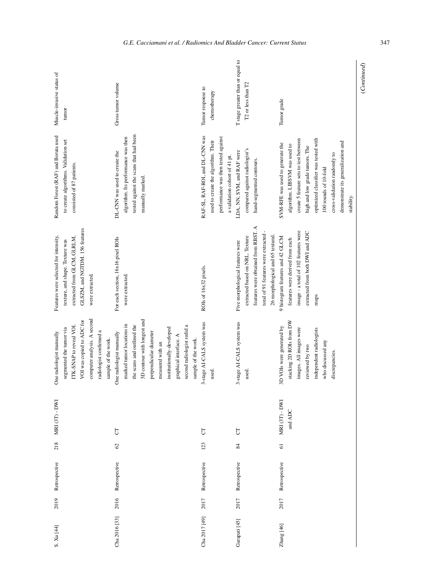| T stage greater than or equal to<br>Muscle-invasive status of<br>Gross tumor volume<br>T2 or less than T2<br>Tumor response to<br>chemotherapy<br>Tumor grade<br>tumor<br>tested against the scans that had been<br>Random Forest (RAF) and Boruta used<br>RAF-SL, RAF-ROI, and DL-CNN was<br>algorithm. Its performance was then<br>performance was then tested against<br>optimized classifier was tested with<br>create 5 feature sets to test between<br>to create algorithms. Validation set<br>used to create the algorithm. Their<br>demonstrate its generalization and<br>SVM-RFE was used to generate the<br>algorithm. LIBSVM was used to<br>high and low grade tumors. The<br>compared against radiologist's<br>LDA, NN, SVM, and RAF were<br>DL-CNN was used to create the<br>cross-validation randomly to<br>a validation cohort of 41 pt.<br>hand-segmented contours.<br>consisted of 87 patients.<br>100 rounds of 10-fold<br>manually marked.<br>stability.<br>features were obtained from RBST. A<br>GLSZM, and NGTDM. 156 features<br>image - a total of 102 features were<br>extracted from both DWI and ADC<br>total of 91 features were extracted<br>26 morphological and 65 textural.<br>extracted based on NRL. Texture<br>9 histogram features and 42 GLCM<br>Features were selected for intensity,<br>extracted from GLCM, GLRLM,<br>For each section, 16x16 pixel ROIs<br>features were derived from each<br>texture, and shape. Texture was<br>Five morphological features were<br>ROIs of 16x32 pixels.<br>were extracted.<br>were extracted.<br>maps<br>computer analysis. A second<br>3D contour with longest and<br>VOI was copied to ADC for<br>stacking 2D ROIs from DW<br>3-stage AI-CALS system was<br>3-stage AI-CALS system was<br>marked tumor locations in<br>the scans and outlined the<br>second radiologist redid a<br>ITK-SNAP to reveal VOI.<br>3D VOIs were generated by<br>institutionally-developed<br>images. All images were<br>segmented the tumor via<br>independent radiologists<br>radiologist confirmed a<br>perpendicular diameter<br>One radiologist manually<br>One radiologist manually<br>graphical interface. A<br>sample of the work.<br>sample of the work.<br>who discussed any<br>measured with an<br>reviewed by two<br>discrepancies.<br>used<br>used<br>- DWI<br><b>DWI</b><br>and ADC<br>MRI(3T)<br>MRI (3T)<br>$\overline{\text{C}}$<br>$\overline{C}$<br>5<br>218<br>123<br>$\mathcal{O}$<br>84<br>5<br>Retrospective<br>Retrospective<br>Retrospective<br>Retrospective<br>Retrospective<br>2016<br>2017<br>2017<br>2019<br>2017<br>Cha 2016 [33]<br>Cha 2017 [49]<br>Garapati [45]<br>Zhang [46]<br>S. Xu [44] | (Continued) |  |  |  |  |
|----------------------------------------------------------------------------------------------------------------------------------------------------------------------------------------------------------------------------------------------------------------------------------------------------------------------------------------------------------------------------------------------------------------------------------------------------------------------------------------------------------------------------------------------------------------------------------------------------------------------------------------------------------------------------------------------------------------------------------------------------------------------------------------------------------------------------------------------------------------------------------------------------------------------------------------------------------------------------------------------------------------------------------------------------------------------------------------------------------------------------------------------------------------------------------------------------------------------------------------------------------------------------------------------------------------------------------------------------------------------------------------------------------------------------------------------------------------------------------------------------------------------------------------------------------------------------------------------------------------------------------------------------------------------------------------------------------------------------------------------------------------------------------------------------------------------------------------------------------------------------------------------------------------------------------------------------------------------------------------------------------------------------------------------------------------------------------------------------------------------------------------------------------------------------------------------------------------------------------------------------------------------------------------------------------------------------------------------------------------------------------------------------------------------------------------------------------------------------------------------------------------------------------------------------------------------------------------------------------------------------------------------------------------------------------------|-------------|--|--|--|--|
|                                                                                                                                                                                                                                                                                                                                                                                                                                                                                                                                                                                                                                                                                                                                                                                                                                                                                                                                                                                                                                                                                                                                                                                                                                                                                                                                                                                                                                                                                                                                                                                                                                                                                                                                                                                                                                                                                                                                                                                                                                                                                                                                                                                                                                                                                                                                                                                                                                                                                                                                                                                                                                                                                        |             |  |  |  |  |
|                                                                                                                                                                                                                                                                                                                                                                                                                                                                                                                                                                                                                                                                                                                                                                                                                                                                                                                                                                                                                                                                                                                                                                                                                                                                                                                                                                                                                                                                                                                                                                                                                                                                                                                                                                                                                                                                                                                                                                                                                                                                                                                                                                                                                                                                                                                                                                                                                                                                                                                                                                                                                                                                                        |             |  |  |  |  |
|                                                                                                                                                                                                                                                                                                                                                                                                                                                                                                                                                                                                                                                                                                                                                                                                                                                                                                                                                                                                                                                                                                                                                                                                                                                                                                                                                                                                                                                                                                                                                                                                                                                                                                                                                                                                                                                                                                                                                                                                                                                                                                                                                                                                                                                                                                                                                                                                                                                                                                                                                                                                                                                                                        |             |  |  |  |  |
|                                                                                                                                                                                                                                                                                                                                                                                                                                                                                                                                                                                                                                                                                                                                                                                                                                                                                                                                                                                                                                                                                                                                                                                                                                                                                                                                                                                                                                                                                                                                                                                                                                                                                                                                                                                                                                                                                                                                                                                                                                                                                                                                                                                                                                                                                                                                                                                                                                                                                                                                                                                                                                                                                        |             |  |  |  |  |
|                                                                                                                                                                                                                                                                                                                                                                                                                                                                                                                                                                                                                                                                                                                                                                                                                                                                                                                                                                                                                                                                                                                                                                                                                                                                                                                                                                                                                                                                                                                                                                                                                                                                                                                                                                                                                                                                                                                                                                                                                                                                                                                                                                                                                                                                                                                                                                                                                                                                                                                                                                                                                                                                                        |             |  |  |  |  |
|                                                                                                                                                                                                                                                                                                                                                                                                                                                                                                                                                                                                                                                                                                                                                                                                                                                                                                                                                                                                                                                                                                                                                                                                                                                                                                                                                                                                                                                                                                                                                                                                                                                                                                                                                                                                                                                                                                                                                                                                                                                                                                                                                                                                                                                                                                                                                                                                                                                                                                                                                                                                                                                                                        |             |  |  |  |  |
|                                                                                                                                                                                                                                                                                                                                                                                                                                                                                                                                                                                                                                                                                                                                                                                                                                                                                                                                                                                                                                                                                                                                                                                                                                                                                                                                                                                                                                                                                                                                                                                                                                                                                                                                                                                                                                                                                                                                                                                                                                                                                                                                                                                                                                                                                                                                                                                                                                                                                                                                                                                                                                                                                        |             |  |  |  |  |
|                                                                                                                                                                                                                                                                                                                                                                                                                                                                                                                                                                                                                                                                                                                                                                                                                                                                                                                                                                                                                                                                                                                                                                                                                                                                                                                                                                                                                                                                                                                                                                                                                                                                                                                                                                                                                                                                                                                                                                                                                                                                                                                                                                                                                                                                                                                                                                                                                                                                                                                                                                                                                                                                                        |             |  |  |  |  |
|                                                                                                                                                                                                                                                                                                                                                                                                                                                                                                                                                                                                                                                                                                                                                                                                                                                                                                                                                                                                                                                                                                                                                                                                                                                                                                                                                                                                                                                                                                                                                                                                                                                                                                                                                                                                                                                                                                                                                                                                                                                                                                                                                                                                                                                                                                                                                                                                                                                                                                                                                                                                                                                                                        |             |  |  |  |  |
|                                                                                                                                                                                                                                                                                                                                                                                                                                                                                                                                                                                                                                                                                                                                                                                                                                                                                                                                                                                                                                                                                                                                                                                                                                                                                                                                                                                                                                                                                                                                                                                                                                                                                                                                                                                                                                                                                                                                                                                                                                                                                                                                                                                                                                                                                                                                                                                                                                                                                                                                                                                                                                                                                        |             |  |  |  |  |
|                                                                                                                                                                                                                                                                                                                                                                                                                                                                                                                                                                                                                                                                                                                                                                                                                                                                                                                                                                                                                                                                                                                                                                                                                                                                                                                                                                                                                                                                                                                                                                                                                                                                                                                                                                                                                                                                                                                                                                                                                                                                                                                                                                                                                                                                                                                                                                                                                                                                                                                                                                                                                                                                                        |             |  |  |  |  |
|                                                                                                                                                                                                                                                                                                                                                                                                                                                                                                                                                                                                                                                                                                                                                                                                                                                                                                                                                                                                                                                                                                                                                                                                                                                                                                                                                                                                                                                                                                                                                                                                                                                                                                                                                                                                                                                                                                                                                                                                                                                                                                                                                                                                                                                                                                                                                                                                                                                                                                                                                                                                                                                                                        |             |  |  |  |  |
|                                                                                                                                                                                                                                                                                                                                                                                                                                                                                                                                                                                                                                                                                                                                                                                                                                                                                                                                                                                                                                                                                                                                                                                                                                                                                                                                                                                                                                                                                                                                                                                                                                                                                                                                                                                                                                                                                                                                                                                                                                                                                                                                                                                                                                                                                                                                                                                                                                                                                                                                                                                                                                                                                        |             |  |  |  |  |
|                                                                                                                                                                                                                                                                                                                                                                                                                                                                                                                                                                                                                                                                                                                                                                                                                                                                                                                                                                                                                                                                                                                                                                                                                                                                                                                                                                                                                                                                                                                                                                                                                                                                                                                                                                                                                                                                                                                                                                                                                                                                                                                                                                                                                                                                                                                                                                                                                                                                                                                                                                                                                                                                                        |             |  |  |  |  |
|                                                                                                                                                                                                                                                                                                                                                                                                                                                                                                                                                                                                                                                                                                                                                                                                                                                                                                                                                                                                                                                                                                                                                                                                                                                                                                                                                                                                                                                                                                                                                                                                                                                                                                                                                                                                                                                                                                                                                                                                                                                                                                                                                                                                                                                                                                                                                                                                                                                                                                                                                                                                                                                                                        |             |  |  |  |  |
|                                                                                                                                                                                                                                                                                                                                                                                                                                                                                                                                                                                                                                                                                                                                                                                                                                                                                                                                                                                                                                                                                                                                                                                                                                                                                                                                                                                                                                                                                                                                                                                                                                                                                                                                                                                                                                                                                                                                                                                                                                                                                                                                                                                                                                                                                                                                                                                                                                                                                                                                                                                                                                                                                        |             |  |  |  |  |
|                                                                                                                                                                                                                                                                                                                                                                                                                                                                                                                                                                                                                                                                                                                                                                                                                                                                                                                                                                                                                                                                                                                                                                                                                                                                                                                                                                                                                                                                                                                                                                                                                                                                                                                                                                                                                                                                                                                                                                                                                                                                                                                                                                                                                                                                                                                                                                                                                                                                                                                                                                                                                                                                                        |             |  |  |  |  |
|                                                                                                                                                                                                                                                                                                                                                                                                                                                                                                                                                                                                                                                                                                                                                                                                                                                                                                                                                                                                                                                                                                                                                                                                                                                                                                                                                                                                                                                                                                                                                                                                                                                                                                                                                                                                                                                                                                                                                                                                                                                                                                                                                                                                                                                                                                                                                                                                                                                                                                                                                                                                                                                                                        |             |  |  |  |  |
|                                                                                                                                                                                                                                                                                                                                                                                                                                                                                                                                                                                                                                                                                                                                                                                                                                                                                                                                                                                                                                                                                                                                                                                                                                                                                                                                                                                                                                                                                                                                                                                                                                                                                                                                                                                                                                                                                                                                                                                                                                                                                                                                                                                                                                                                                                                                                                                                                                                                                                                                                                                                                                                                                        |             |  |  |  |  |
|                                                                                                                                                                                                                                                                                                                                                                                                                                                                                                                                                                                                                                                                                                                                                                                                                                                                                                                                                                                                                                                                                                                                                                                                                                                                                                                                                                                                                                                                                                                                                                                                                                                                                                                                                                                                                                                                                                                                                                                                                                                                                                                                                                                                                                                                                                                                                                                                                                                                                                                                                                                                                                                                                        |             |  |  |  |  |
|                                                                                                                                                                                                                                                                                                                                                                                                                                                                                                                                                                                                                                                                                                                                                                                                                                                                                                                                                                                                                                                                                                                                                                                                                                                                                                                                                                                                                                                                                                                                                                                                                                                                                                                                                                                                                                                                                                                                                                                                                                                                                                                                                                                                                                                                                                                                                                                                                                                                                                                                                                                                                                                                                        |             |  |  |  |  |
|                                                                                                                                                                                                                                                                                                                                                                                                                                                                                                                                                                                                                                                                                                                                                                                                                                                                                                                                                                                                                                                                                                                                                                                                                                                                                                                                                                                                                                                                                                                                                                                                                                                                                                                                                                                                                                                                                                                                                                                                                                                                                                                                                                                                                                                                                                                                                                                                                                                                                                                                                                                                                                                                                        |             |  |  |  |  |
|                                                                                                                                                                                                                                                                                                                                                                                                                                                                                                                                                                                                                                                                                                                                                                                                                                                                                                                                                                                                                                                                                                                                                                                                                                                                                                                                                                                                                                                                                                                                                                                                                                                                                                                                                                                                                                                                                                                                                                                                                                                                                                                                                                                                                                                                                                                                                                                                                                                                                                                                                                                                                                                                                        |             |  |  |  |  |
|                                                                                                                                                                                                                                                                                                                                                                                                                                                                                                                                                                                                                                                                                                                                                                                                                                                                                                                                                                                                                                                                                                                                                                                                                                                                                                                                                                                                                                                                                                                                                                                                                                                                                                                                                                                                                                                                                                                                                                                                                                                                                                                                                                                                                                                                                                                                                                                                                                                                                                                                                                                                                                                                                        |             |  |  |  |  |
|                                                                                                                                                                                                                                                                                                                                                                                                                                                                                                                                                                                                                                                                                                                                                                                                                                                                                                                                                                                                                                                                                                                                                                                                                                                                                                                                                                                                                                                                                                                                                                                                                                                                                                                                                                                                                                                                                                                                                                                                                                                                                                                                                                                                                                                                                                                                                                                                                                                                                                                                                                                                                                                                                        |             |  |  |  |  |
|                                                                                                                                                                                                                                                                                                                                                                                                                                                                                                                                                                                                                                                                                                                                                                                                                                                                                                                                                                                                                                                                                                                                                                                                                                                                                                                                                                                                                                                                                                                                                                                                                                                                                                                                                                                                                                                                                                                                                                                                                                                                                                                                                                                                                                                                                                                                                                                                                                                                                                                                                                                                                                                                                        |             |  |  |  |  |
|                                                                                                                                                                                                                                                                                                                                                                                                                                                                                                                                                                                                                                                                                                                                                                                                                                                                                                                                                                                                                                                                                                                                                                                                                                                                                                                                                                                                                                                                                                                                                                                                                                                                                                                                                                                                                                                                                                                                                                                                                                                                                                                                                                                                                                                                                                                                                                                                                                                                                                                                                                                                                                                                                        |             |  |  |  |  |
|                                                                                                                                                                                                                                                                                                                                                                                                                                                                                                                                                                                                                                                                                                                                                                                                                                                                                                                                                                                                                                                                                                                                                                                                                                                                                                                                                                                                                                                                                                                                                                                                                                                                                                                                                                                                                                                                                                                                                                                                                                                                                                                                                                                                                                                                                                                                                                                                                                                                                                                                                                                                                                                                                        |             |  |  |  |  |
|                                                                                                                                                                                                                                                                                                                                                                                                                                                                                                                                                                                                                                                                                                                                                                                                                                                                                                                                                                                                                                                                                                                                                                                                                                                                                                                                                                                                                                                                                                                                                                                                                                                                                                                                                                                                                                                                                                                                                                                                                                                                                                                                                                                                                                                                                                                                                                                                                                                                                                                                                                                                                                                                                        |             |  |  |  |  |
|                                                                                                                                                                                                                                                                                                                                                                                                                                                                                                                                                                                                                                                                                                                                                                                                                                                                                                                                                                                                                                                                                                                                                                                                                                                                                                                                                                                                                                                                                                                                                                                                                                                                                                                                                                                                                                                                                                                                                                                                                                                                                                                                                                                                                                                                                                                                                                                                                                                                                                                                                                                                                                                                                        |             |  |  |  |  |
|                                                                                                                                                                                                                                                                                                                                                                                                                                                                                                                                                                                                                                                                                                                                                                                                                                                                                                                                                                                                                                                                                                                                                                                                                                                                                                                                                                                                                                                                                                                                                                                                                                                                                                                                                                                                                                                                                                                                                                                                                                                                                                                                                                                                                                                                                                                                                                                                                                                                                                                                                                                                                                                                                        |             |  |  |  |  |
|                                                                                                                                                                                                                                                                                                                                                                                                                                                                                                                                                                                                                                                                                                                                                                                                                                                                                                                                                                                                                                                                                                                                                                                                                                                                                                                                                                                                                                                                                                                                                                                                                                                                                                                                                                                                                                                                                                                                                                                                                                                                                                                                                                                                                                                                                                                                                                                                                                                                                                                                                                                                                                                                                        |             |  |  |  |  |
|                                                                                                                                                                                                                                                                                                                                                                                                                                                                                                                                                                                                                                                                                                                                                                                                                                                                                                                                                                                                                                                                                                                                                                                                                                                                                                                                                                                                                                                                                                                                                                                                                                                                                                                                                                                                                                                                                                                                                                                                                                                                                                                                                                                                                                                                                                                                                                                                                                                                                                                                                                                                                                                                                        |             |  |  |  |  |
|                                                                                                                                                                                                                                                                                                                                                                                                                                                                                                                                                                                                                                                                                                                                                                                                                                                                                                                                                                                                                                                                                                                                                                                                                                                                                                                                                                                                                                                                                                                                                                                                                                                                                                                                                                                                                                                                                                                                                                                                                                                                                                                                                                                                                                                                                                                                                                                                                                                                                                                                                                                                                                                                                        |             |  |  |  |  |
|                                                                                                                                                                                                                                                                                                                                                                                                                                                                                                                                                                                                                                                                                                                                                                                                                                                                                                                                                                                                                                                                                                                                                                                                                                                                                                                                                                                                                                                                                                                                                                                                                                                                                                                                                                                                                                                                                                                                                                                                                                                                                                                                                                                                                                                                                                                                                                                                                                                                                                                                                                                                                                                                                        |             |  |  |  |  |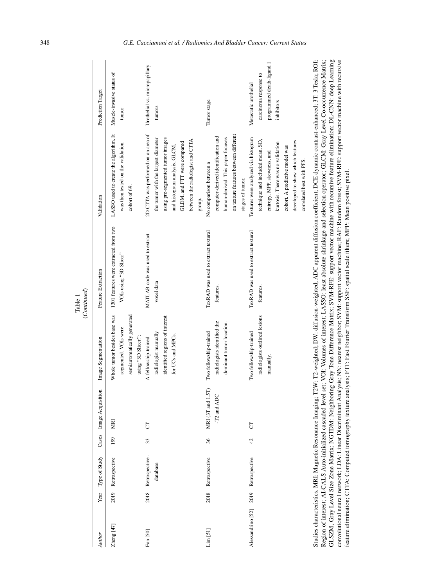| Author            | Year | Type of Study               |                | Cases Image Acquisition          | Image Segmentation                                                                                         | Feature Extraction                                              | Validation                                                                                                                                                                                                                                      | Prediction Target                                                                         |
|-------------------|------|-----------------------------|----------------|----------------------------------|------------------------------------------------------------------------------------------------------------|-----------------------------------------------------------------|-------------------------------------------------------------------------------------------------------------------------------------------------------------------------------------------------------------------------------------------------|-------------------------------------------------------------------------------------------|
| Zheng [47]        | 2019 | Retrospective               | 199            | MRI                              | Whole tumor besides base was<br>semiautomatically generated<br>segmented. VOIs were<br>using "3D Slicer."; | 1301 features were extracted from two<br>VOIs using "3D Slicer" | LASSO used to create the algorithm. It<br>was then tested on the validation<br>cohort of 69.                                                                                                                                                    | Muscle-invasive status of<br>tumor                                                        |
| Fan [50]          | 2018 | Retrospective -<br>database | 33             | 5                                | identified regions of interest<br>radiologist manually<br>for UCs and MPCs.<br>A fellowship-trained        | MATLAB code was used to extract<br>voxel data                   | 2D CTTA was performed on an area of<br>the tumor with the largest diameter<br>using pre-segmented tumor images<br>between the radiologist and CTTA<br>GLDM, and FIT were compared<br>and histogram analysis, GLCM,<br>group.                    | Urothelial vs. micropapillary<br>tumors                                                   |
| $Lim$ $[51]$      | 2018 | Retrospective               | 36             | MRI (3T and 1.5T)<br>-T2 and ADC | radiologists identified the<br>dominant tumor location.<br>Two fellowship-trained                          | TexRAD was used to extract textural<br>features.                | on texture features between different<br>computer-derived identification and<br>human-derived. This paper focuses<br>No comparison between a<br>stages of tumor.                                                                                | Tumor stage                                                                               |
| Alessandrino [52] | 2019 | Retrospective               | $\overline{4}$ | 5                                | radiologists outlined lesions<br>Two fellowship-trained<br>manually.                                       | TexRAD was used to extract textural<br>features.                | Textures were analyzed via histogram<br>technique and included mean, SD,<br>developed to show which features<br>kurtosis. There was no validation<br>cohort. A predictive model was<br>entropy, MPP, skewness, and<br>correlated best with PFS. | programmed death-ligand 1<br>carcinoma response to<br>Metastatic urothelial<br>inhibitors |

GLSZM, Gray Level Size Zone Matrix; NGTDM: Neighboring Gray Tone Difference Matrix; SVM-RFE: support vector machine with recursive feature elimination; DL-CNN: deep Learning convolutional neura l network; LDA: Linear Discriminant Analysis; NN: nearest neighbor; SVM: support vector machine; RAF: Random forest; SVM-RFE: support vector machine with recursive

GLSZM, Gray Level Size Zone Matrix; NGTDM: Neighboring Gray Tone Difference Matrix; SVM-RFE: support vector machine with recursive feature elimination; DL-CNN: deep Learning convolutional network; LDA: Linear Discriminant Analysis; NN: nearest neighbor; SVM: support vector machine; RAF: Random forest; SVM-RFE: support vector machine with recursive

feature elimination; CTTA: Computed tomography texture analysis; FTT: Fast Fourier Transform SSF: spatial scale filters; MPP: Mean positive pixel.

feature elimination; CTTA: Computed tomography texture analysis; FTT: Fast Fourier Transform SSF: spatial scale filters; MPP: Mean positive pixel.

Table 1<br>(Continued) (*Continued*)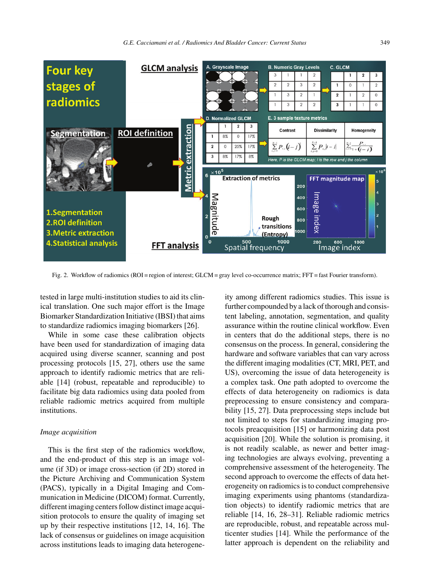

Fig. 2. Workflow of radiomics (ROI = region of interest; GLCM = gray level co-occurrence matrix; FFT = fast Fourier transform).

tested in large multi-institution studies to aid its clinical translation. One such major effort is the Image Biomarker Standardization Initiative (IBSI) that aims to standardize radiomics imaging biomarkers [26].

While in some case these calibration objects have been used for standardization of imaging data acquired using diverse scanner, scanning and post processing protocols [15, 27], others use the same approach to identify radiomic metrics that are reliable [14] (robust, repeatable and reproducible) to facilitate big data radiomics using data pooled from reliable radiomic metrics acquired from multiple institutions.

### *Image acquisition*

This is the first step of the radiomics workflow, and the end-product of this step is an image volume (if 3D) or image cross-section (if 2D) stored in the Picture Archiving and Communication System (PACS), typically in a Digital Imaging and Communication in Medicine (DICOM) format. Currently, different imaging centers follow distinct image acquisition protocols to ensure the quality of imaging set up by their respective institutions [12, 14, 16]. The lack of consensus or guidelines on image acquisition across institutions leads to imaging data heterogeneity among different radiomics studies. This issue is further compounded by a lack of thorough and consistent labeling, annotation, segmentation, and quality assurance within the routine clinical workflow. Even in centers that do the additional steps, there is no consensus on the process. In general, considering the hardware and software variables that can vary across the different imaging modalities (CT, MRI, PET, and US), overcoming the issue of data heterogeneity is a complex task. One path adopted to overcome the effects of data heterogeneity on radiomics is data preprocessing to ensure consistency and comparability [15, 27]. Data preprocessing steps include but not limited to steps for standardizing imaging protocols preacquisition [15] or harmonizing data post acquisition [20]. While the solution is promising, it is not readily scalable, as newer and better imaging technologies are always evolving, preventing a comprehensive assessment of the heterogeneity. The second approach to overcome the effects of data heterogeneity on radiomics is to conduct comprehensive imaging experiments using phantoms (standardization objects) to identify radiomic metrics that are reliable [14, 16, 28–31]. Reliable radiomic metrics are reproducible, robust, and repeatable across multicenter studies [14]. While the performance of the latter approach is dependent on the reliability and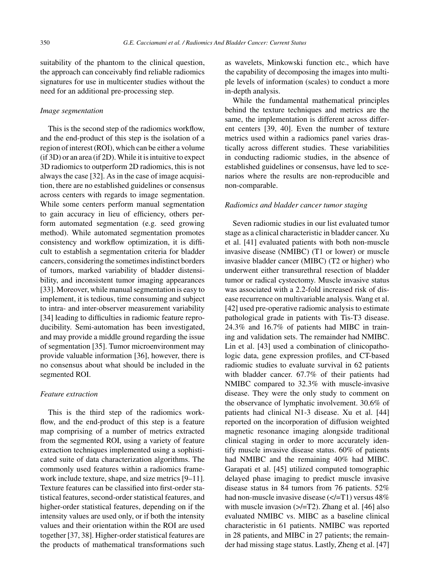suitability of the phantom to the clinical question, the approach can conceivably find reliable radiomics signatures for use in multicenter studies without the need for an additional pre-processing step.

#### *Image segmentation*

This is the second step of the radiomics workflow, and the end-product of this step is the isolation of a region of interest (ROI), which can be either a volume (if 3D) or an area (if 2D). While it is intuitive to expect 3D radiomics to outperform 2D radiomics, this is not always the case [32]. As in the case of image acquisition, there are no established guidelines or consensus across centers with regards to image segmentation. While some centers perform manual segmentation to gain accuracy in lieu of efficiency, others perform automated segmentation (e.g. seed growing method). While automated segmentation promotes consistency and workflow optimization, it is difficult to establish a segmentation criteria for bladder cancers, considering the sometimes indistinct borders of tumors, marked variability of bladder distensibility, and inconsistent tumor imaging appearances [33]. Moreover, while manual segmentation is easy to implement, it is tedious, time consuming and subject to intra- and inter-observer measurement variability [34] leading to difficulties in radiomic feature reproducibility. Semi-automation has been investigated, and may provide a middle ground regarding the issue of segmentation [35]. Tumor microenvironment may provide valuable information [36], however, there is no consensus about what should be included in the segmented ROI.

## *Feature extraction*

This is the third step of the radiomics workflow, and the end-product of this step is a feature map comprising of a number of metrics extracted from the segmented ROI, using a variety of feature extraction techniques implemented using a sophisticated suite of data characterization algorithms. The commonly used features within a radiomics framework include texture, shape, and size metrics [9–11]. Texture features can be classified into first-order statistical features, second-order statistical features, and higher-order statistical features, depending on if the intensity values are used only, or if both the intensity values and their orientation within the ROI are used together [37, 38]. Higher-order statistical features are the products of mathematical transformations such

as wavelets, Minkowski function etc., which have the capability of decomposing the images into multiple levels of information (scales) to conduct a more in-depth analysis.

While the fundamental mathematical principles behind the texture techniques and metrics are the same, the implementation is different across different centers [39, 40]. Even the number of texture metrics used within a radiomics panel varies drastically across different studies. These variabilities in conducting radiomic studies, in the absence of established guidelines or consensus, have led to scenarios where the results are non-reproducible and non-comparable.

## *Radiomics and bladder cancer tumor staging*

Seven radiomic studies in our list evaluated tumor stage as a clinical characteristic in bladder cancer. Xu et al. [41] evaluated patients with both non-muscle invasive disease (NMIBC) (T1 or lower) or muscle invasive bladder cancer (MIBC) (T2 or higher) who underwent either transurethral resection of bladder tumor or radical cystectomy. Muscle invasive status was associated with a 2.2-fold increased risk of disease recurrence on multivariable analysis. Wang et al. [42] used pre-operative radiomic analysis to estimate pathological grade in patients with Tis-T3 disease. 24.3% and 16.7% of patients had MIBC in training and validation sets. The remainder had NMIBC. Lin et al. [43] used a combination of clinicopathologic data, gene expression profiles, and CT-based radiomic studies to evaluate survival in 62 patients with bladder cancer. 67.7% of their patients had NMIBC compared to 32.3% with muscle-invasive disease. They were the only study to comment on the observance of lymphatic involvement. 30.6% of patients had clinical N1-3 disease. Xu et al. [44] reported on the incorporation of diffusion weighted magnetic resonance imaging alongside traditional clinical staging in order to more accurately identify muscle invasive disease status. 60% of patients had NMIBC and the remaining 40% had MIBC. Garapati et al. [45] utilized computed tomographic delayed phase imaging to predict muscle invasive disease status in 84 tumors from 76 patients. 52% had non-muscle invasive disease  $\left(\langle -T1 \rangle\right)$  versus 48% with muscle invasion  $(\geq/=T2)$ . Zhang et al. [46] also evaluated NMIBC vs. MIBC as a baseline clinical characteristic in 61 patients. NMIBC was reported in 28 patients, and MIBC in 27 patients; the remainder had missing stage status. Lastly, Zheng et al. [47]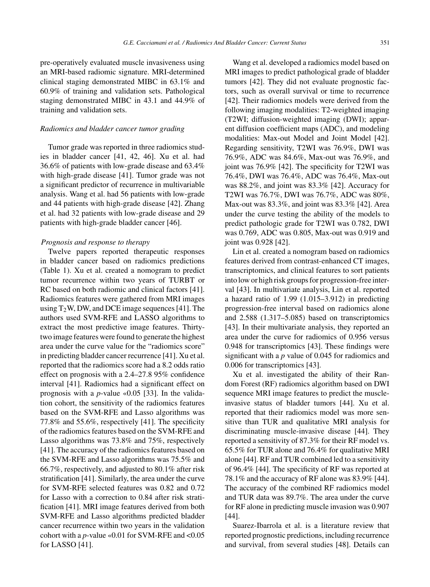pre-operatively evaluated muscle invasiveness using an MRI-based radiomic signature. MRI-determined clinical staging demonstrated MIBC in 63.1% and 60.9% of training and validation sets. Pathological staging demonstrated MIBC in 43.1 and 44.9% of training and validation sets.

#### *Radiomics and bladder cancer tumor grading*

Tumor grade was reported in three radiomics studies in bladder cancer [41, 42, 46]. Xu et al. had 36.6% of patients with low-grade disease and 63.4% with high-grade disease [41]. Tumor grade was not a significant predictor of recurrence in multivariable analysis. Wang et al. had 56 patients with low-grade and 44 patients with high-grade disease [42]. Zhang et al. had 32 patients with low-grade disease and 29 patients with high-grade bladder cancer [46].

#### *Prognosis and response to therapy*

Twelve papers reported therapeutic responses in bladder cancer based on radiomics predictions (Table 1). Xu et al. created a nomogram to predict tumor recurrence within two years of TURBT or RC based on both radiomic and clinical factors [41]. Radiomics features were gathered from MRI images using  $T_2W$ , DW, and DCE image sequences [41]. The authors used SVM-RFE and LASSO algorithms to extract the most predictive image features. Thirtytwo image features were found to generate the highest area under the curve value for the "radiomics score" in predicting bladder cancer recurrence [41]. Xu et al. reported that the radiomics score had a 8.2 odds ratio effect on prognosis with a 2.4–27.8 95% confidence interval [41]. Radiomics had a significant effect on prognosis with a *p*-value «0.05 [33]. In the validation cohort, the sensitivity of the radiomics features based on the SVM-RFE and Lasso algorithms was 77.8% and 55.6%, respectively [41]. The specificity of the radiomics features based on the SVM-RFE and Lasso algorithms was 73.8% and 75%, respectively [41]. The accuracy of the radiomics features based on the SVM-RFE and Lasso algorithms was 75.5% and 66.7%, respectively, and adjusted to 80.1% after risk stratification [41]. Similarly, the area under the curve for SVM-RFE selected features was 0.82 and 0.72 for Lasso with a correction to 0.84 after risk stratification [41]. MRI image features derived from both SVM-RFE and Lasso algorithms predicted bladder cancer recurrence within two years in the validation cohort with a *p*-value «0.01 for SVM-RFE and <0.05 for LASSO [41].

Wang et al. developed a radiomics model based on MRI images to predict pathological grade of bladder tumors [42]. They did not evaluate prognostic factors, such as overall survival or time to recurrence [42]. Their radiomics models were derived from the following imaging modalities: T2-weighted imaging (T2WI; diffusion-weighted imaging (DWI); apparent diffusion coefficient maps (ADC), and modeling modalities: Max-out Model and Joint Model [42]. Regarding sensitivity, T2WI was 76.9%, DWI was 76.9%, ADC was 84.6%, Max-out was 76.9%, and joint was 76.9% [42]. The specificity for T2WI was 76.4%, DWI was 76.4%, ADC was 76.4%, Max-out was 88.2%, and joint was 83.3% [42]. Accuracy for T2WI was 76.7%, DWI was 76.7%, ADC was 80%, Max-out was 83.3%, and joint was 83.3% [42]. Area under the curve testing the ability of the models to predict pathologic grade for T2WI was 0.782, DWI was 0.769, ADC was 0.805, Max-out was 0.919 and joint was 0.928 [42].

Lin et al. created a nomogram based on radiomics features derived from contrast-enhanced CT images, transcriptomics, and clinical features to sort patients into low or high risk groups for progression-free interval [43]. In multivariate analysis, Lin et al. reported a hazard ratio of 1.99 (1.015–3.912) in predicting progression-free interval based on radiomics alone and 2.588 (1.317–5.085) based on transcriptomics [43]. In their multivariate analysis, they reported an area under the curve for radiomics of 0.956 versus 0.948 for transcriptomics [43]. These findings were significant with a *p* value of 0.045 for radiomics and 0.006 for transcriptomics [43].

Xu et al. investigated the ability of their Random Forest (RF) radiomics algorithm based on DWI sequence MRI image features to predict the muscleinvasive status of bladder tumors [44]. Xu et al. reported that their radiomics model was more sensitive than TUR and qualitative MRI analysis for discriminating muscle-invasive disease [44]. They reported a sensitivity of 87.3% for their RF model vs. 65.5% for TUR alone and 76.4% for qualitative MRI alone [44]. RF and TUR combined led to a sensitivity of 96.4% [44]. The specificity of RF was reported at 78.1% and the accuracy of RF alone was 83.9% [44]. The accuracy of the combined RF radiomics model and TUR data was 89.7%. The area under the curve for RF alone in predicting muscle invasion was 0.907 [44].

Suarez-Ibarrola et al. is a literature review that reported prognostic predictions, including recurrence and survival, from several studies [48]. Details can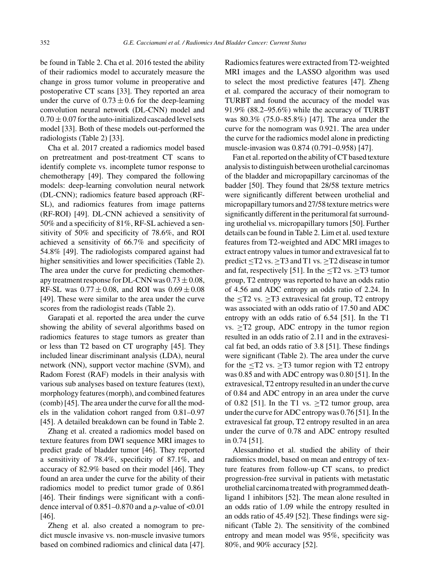be found in Table 2. Cha et al. 2016 tested the ability of their radiomics model to accurately measure the change in gross tumor volume in preoperative and postoperative CT scans [33]. They reported an area under the curve of  $0.73 \pm 0.6$  for the deep-learning convolution neural network (DL-CNN) model and  $0.70 \pm 0.07$  for the auto-initialized cascaded level sets model [33]. Both of these models out-performed the radiologists (Table 2) [33].

Cha et al. 2017 created a radiomics model based on pretreatment and post-treatment CT scans to identify complete vs. incomplete tumor response to chemotherapy [49]. They compared the following models: deep-learning convolution neural network (DL-CNN); radiomics feature based approach (RF-SL), and radiomics features from image patterns (RF-ROI) [49]. DL-CNN achieved a sensitivity of 50% and a specificity of 81%, RF-SL achieved a sensitivity of 50% and specificity of 78.6%, and ROI achieved a sensitivity of 66.7% and specificity of 54.8% [49]. The radiologists compared against had higher sensitivities and lower specificities (Table 2). The area under the curve for predicting chemotherapy treatment response for DL-CNN was  $0.73 \pm 0.08$ , RF-SL was  $0.77 \pm 0.08$ , and ROI was  $0.69 \pm 0.08$ [49]. These were similar to the area under the curve scores from the radiologist reads (Table 2).

Garapati et al. reported the area under the curve showing the ability of several algorithms based on radiomics features to stage tumors as greater than or less than T2 based on CT urography [45]. They included linear discriminant analysis (LDA), neural network (NN), support vector machine (SVM), and Radom Forest (RAF) models in their analysis with various sub analyses based on texture features (text), morphology features (morph), and combined features (comb) [45]. The area under the curve for all the models in the validation cohort ranged from 0.81–0.97 [45]. A detailed breakdown can be found in Table 2.

Zhang et al. created a radiomics model based on texture features from DWI sequence MRI images to predict grade of bladder tumor [46]. They reported a sensitivity of 78.4%, specificity of 87.1%, and accuracy of 82.9% based on their model [46]. They found an area under the curve for the ability of their radiomics model to predict tumor grade of 0.861 [46]. Their findings were significant with a confidence interval of  $0.851-0.870$  and a *p*-value of <0.01 [46].

Zheng et al. also created a nomogram to predict muscle invasive vs. non-muscle invasive tumors based on combined radiomics and clinical data [47]. Radiomics features were extracted from T2-weighted MRI images and the LASSO algorithm was used to select the most predictive features [47]. Zheng et al. compared the accuracy of their nomogram to TURBT and found the accuracy of the model was 91.9% (88.2–95.6%) while the accuracy of TURBT was 80.3% (75.0–85.8%) [47]. The area under the curve for the nomogram was 0.921. The area under the curve for the radiomics model alone in predicting muscle-invasion was 0.874 (0.791–0.958) [47].

Fan et al. reported on the ability of CT based texture analysis to distinguish between urothelial carcinomas of the bladder and micropapillary carcinomas of the badder [50]. They found that 28/58 texture metrics were significantly different between urothelial and micropapillary tumors and 27/58 texture metrics were significantly different in the peritumoral fat surrounding urothelial vs. micropapillary tumors [50]. Further details can be found in Table 2. Lim et al. used texture features from T2-weighted and ADC MRI images to extract entropy values in tumor and extravesical fat to predict  $\leq$ T2 vs.  $\geq$ T3 and T1 vs.  $\geq$ T2 disease in tumor and fat, respectively [51]. In the  $\leq$ T2 vs.  $\geq$ T3 tumor group, T2 entropy was reported to have an odds ratio of 4.56 and ADC entropy an odds ratio of 2.24. In the  $\leq$ T2 vs.  $\geq$ T3 extravesical fat group, T2 entropy was associated with an odds ratio of 17.50 and ADC entropy with an odds ratio of 6.54 [51]. In the T1 vs.  $\geq$ T2 group, ADC entropy in the tumor region resulted in an odds ratio of 2.11 and in the extravesical fat bed, an odds ratio of 3.8 [51]. These findings were significant (Table 2). The area under the curve for the  $\langle$ T2 vs.  $\rangle$ T3 tumor region with T2 entropy was 0.85 and with ADC entropy was 0.80 [51]. In the extravesical, T2 entropy resulted in an under the curve of 0.84 and ADC entropy in an area under the curve of 0.82 [51]. In the T1 vs.  $\geq$ T2 tumor group, area under the curve for ADC entropy was 0.76 [51]. In the extravesical fat group, T2 entropy resulted in an area under the curve of 0.78 and ADC entropy resulted in 0.74 [51].

Alessandrino et al. studied the ability of their radiomics model, based on mean and entropy of texture features from follow-up CT scans, to predict progression-free survival in patients with metastatic urothelial carcinoma treated with programmed deathligand 1 inhibitors [52]. The mean alone resulted in an odds ratio of 1.09 while the entropy resulted in an odds ratio of 45.49 [52]. These findings were significant (Table 2). The sensitivity of the combined entropy and mean model was 95%, specificity was 80%, and 90% accuracy [52].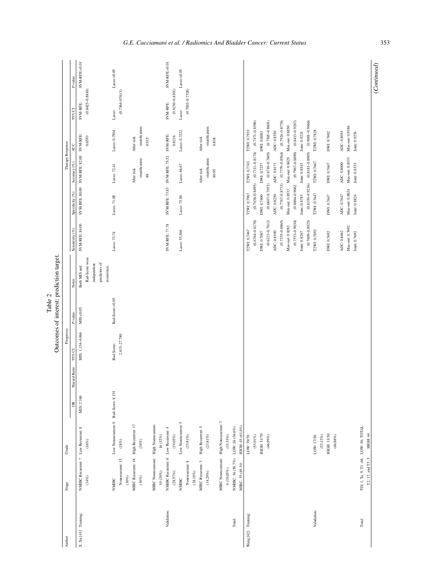|      | Ë<br>Ĩ.                             |
|------|-------------------------------------|
|      | redictio<br>٦                       |
| able | leres'<br>Í                         |
|      | $\mathop{\rm cone}\nolimits_0$<br>₹ |
|      |                                     |

|                      |                                       |                                         |            |              |                  |                 | Outcomes of interest: prediction target. |                     |                     |                                                |                                                                       |                     |                |
|----------------------|---------------------------------------|-----------------------------------------|------------|--------------|------------------|-----------------|------------------------------------------|---------------------|---------------------|------------------------------------------------|-----------------------------------------------------------------------|---------------------|----------------|
| Author               | $\operatorname{Stage}$                | Grade                                   |            |              | Prognosis        |                 |                                          |                     |                     | Therapy Response                               |                                                                       |                     |                |
|                      |                                       |                                         | $\approx$  | Hazard Ratio | 95% CI           | P-value         | Notes                                    | Sensitivity $(\%)$  | Specificity (%)     | Accuracy (%)                                   | AUC                                                                   | 95% CI              | P-value        |
| X. Xu [41] Training: | NMIBC Recurrent: 7 Low Recurrent: 8   |                                         | MIS: 2.166 |              | MIS: 1.154-4.066 | MS < 0.05       | Both MIS and                             | SVM-RFE: 84.00      | SVM-RFE: 80.00      | SVM-RFE: 82.00                                 | SVM-RFE:                                                              | SVM-RFE:            | SVM-RFE: «0.01 |
|                      | (14%)                                 | $(16\%)$                                |            |              |                  |                 | Rad-Score were                           |                     |                     |                                                | 0.8593                                                                | $(0.8425 - 0.8810)$ |                |
|                      |                                       |                                         |            |              |                  |                 | independent                              |                     |                     |                                                |                                                                       |                     |                |
|                      |                                       |                                         |            |              |                  |                 | predictors of                            |                     |                     |                                                |                                                                       |                     |                |
|                      | <b>NMIBC</b>                          | Low Nonrecurrent: 9 Rad-Score: 8.191    |            |              | Rad-Score:       | Rad-Score:«0.05 | recurrence.                              |                     | Lasso: 71.08        | Lasso: 72.41                                   | Lasso: 0.7504                                                         |                     | Lasso:<0.05    |
|                      |                                       |                                         |            |              |                  |                 |                                          | Lasso: 73.74        |                     |                                                |                                                                       | Lasso:              |                |
|                      | Nonrecurrent: 15                      | $(18\%)$                                |            |              | 2.415-27.780     |                 |                                          |                     |                     |                                                |                                                                       | $(0.7364 - 07613)$  |                |
|                      | $(30\%)$                              |                                         |            |              |                  |                 |                                          |                     |                     |                                                |                                                                       |                     |                |
|                      |                                       | MIBC Recurrent: 18 High Recurrent: 17   |            |              |                  |                 |                                          |                     |                     | After risk                                     | After risk                                                            |                     |                |
|                      | $(36\%)$                              | $(\gamma_{\rm t} \gamma_{\rm c})$       |            |              |                  |                 |                                          |                     |                     | stratification:                                | stratification:                                                       |                     |                |
|                      |                                       |                                         |            |              |                  |                 |                                          |                     |                     | $_{88}$                                        | 0.915                                                                 |                     |                |
|                      |                                       | MIBC Nonrecurrent: High Nonrecurrent    |            |              |                  |                 |                                          |                     |                     |                                                |                                                                       |                     |                |
|                      | $10(20\%)$                            | $16(32\%)$                              |            |              |                  |                 |                                          |                     |                     |                                                |                                                                       |                     |                |
| Validation:          | NMIBC Recurrent: 6 Low Recurrent: 4   |                                         |            |              |                  |                 |                                          | SVM-RFE: 77.78      | SVM-RFE: 73.83      | SVM-RFE: 75.52                                 | SVM-RFE:                                                              | SVM-RFE:            | SVM-RFE: «0.01 |
|                      | $(28.57\%)$                           | $(19.05\%)$                             |            |              |                  |                 |                                          |                     |                     |                                                | 0.8216                                                                | $(0.8130 - 0.8301)$ |                |
|                      | NMIBC                                 | Low Nonrecurrent: 5                     |            |              |                  |                 |                                          | Lasso: 55.566       | Lasso: 75.00        | Lasso: 66.67                                   | Lasso: 0.7222                                                         | Lasso:              | Lasso: < 0.05  |
|                      |                                       |                                         |            |              |                  |                 |                                          |                     |                     |                                                |                                                                       |                     |                |
|                      | Nonrecurrent: 8                       | $(23.81\%)$                             |            |              |                  |                 |                                          |                     |                     |                                                |                                                                       | $(0.7003 - 0.7328)$ |                |
|                      | $(38.10\%)$                           |                                         |            |              |                  |                 |                                          |                     |                     |                                                |                                                                       |                     |                |
|                      | MIBC Recurrent: 3                     | High Recurrent: 5                       |            |              |                  |                 |                                          |                     |                     | After risk                                     | After risk                                                            |                     |                |
|                      | $(14.29\%)$                           | $(23.81\,\%)$                           |            |              |                  |                 |                                          |                     |                     | stratification:                                | stratification:                                                       |                     |                |
|                      |                                       |                                         |            |              |                  |                 |                                          |                     |                     | 80.95                                          | 0.838                                                                 |                     |                |
|                      |                                       | MIBC Nonrecurrent: High Nonrecurrent: 7 |            |              |                  |                 |                                          |                     |                     |                                                |                                                                       |                     |                |
|                      | $4(19.05\%)$                          | $(33.33\%)$                             |            |              |                  |                 |                                          |                     |                     |                                                |                                                                       |                     |                |
| Total:               | NMIBC: 36 (50.7%) LOW: 26 (36.6%)     |                                         |            |              |                  |                 |                                          |                     |                     |                                                |                                                                       |                     |                |
|                      | MIBC: 35 (49.3%                       | HIGH: 45 (63.4%)                        |            |              |                  |                 |                                          |                     |                     |                                                |                                                                       |                     |                |
| Wang [42] Training:  |                                       | LOW: 39/70                              |            |              |                  |                 |                                          | T2WI: 0.7467        | T2WI: 0.7967        | T2WI: 0.7743                                   | T2WI: 0.7933                                                          |                     |                |
|                      |                                       | $(53.01\%)$                             |            |              |                  |                 |                                          | $(0.6764 - 0.8170)$ | $(0.7438 - 0.8495)$ | $(0.7311 - 0.8174)$                            | $(0.7471 - 0.8396)$                                                   |                     |                |
|                      |                                       | <b>HIGH: 31/70</b>                      |            |              |                  |                 |                                          | DWI: 0.7067         | DWI: 0.7400         | DWI: 0.7257                                    | DWI: 0.8083                                                           |                     |                |
|                      |                                       | $(46.99\%)$                             |            |              |                  |                 |                                          | $(0.6321 - 0.7812)$ |                     |                                                | $(0.6847 - 0.7953) \qquad (0.6710 - 0.7805) \qquad (0.7565 - 0.8601)$ |                     |                |
|                      |                                       |                                         |            |              |                  |                 |                                          | ADC: 0.8100         | ADC: 0.8250         | ADC: 0.8171                                    | ADC: 0.8350                                                           |                     |                |
|                      |                                       |                                         |            |              |                  |                 |                                          | $(0.7335 - 0.8865)$ |                     |                                                | $(0.7767 - 0.8733)$ $(0.7779 - 0.8564)$ $(0.7924 - 0.8776)$           |                     |                |
|                      |                                       |                                         |            |              |                  |                 |                                          | Max-out: 0.8283     |                     | Max-out 0.8533 Max-out: 0.8429 Max-out: 0.8850 |                                                                       |                     |                |
|                      |                                       |                                         |            |              |                  |                 |                                          | $(0.7533 - 0.9034)$ | $(0.8004 - 0.9062)$ |                                                | $(0.7967 - 0.8890)$ $(0.8413 - 0.9287)$                               |                     |                |
|                      |                                       |                                         |            |              |                  |                 |                                          | Joint: 0.8267       | Joint: 0.8783       | Joint: 0.8543                                  | Joint: 0.9233                                                         |                     |                |
|                      |                                       |                                         |            |              |                  |                 |                                          | $(0.7609 - 0.8925)$ |                     |                                                | $(0.8330 - 0.9236)$ $(0.8181 - 0.8905)$ $(0.9001 - 0.9466)$           |                     |                |
| Validation:          |                                       | LOW: 17/30                              |            |              |                  |                 |                                          | T2WI: 0.7692        | T2WI: 0.7647        | T2WI: 0.7667                                   | T2WI: 0.7828                                                          |                     |                |
|                      |                                       | $(53.12\%)$                             |            |              |                  |                 |                                          |                     |                     |                                                |                                                                       |                     |                |
|                      |                                       | <b>HIGH: 13/30</b>                      |            |              |                  |                 |                                          | DWI: 0.7692         | DWI: 0.7647         | DWI: 0.7667                                    | DWI: 0.7692                                                           |                     |                |
|                      |                                       | $(46.88\%)$                             |            |              |                  |                 |                                          |                     |                     |                                                |                                                                       |                     |                |
|                      |                                       |                                         |            |              |                  |                 |                                          | ADC: 0.8462         | ADC: 0.7647         | ADC: 0.8000                                    | ADC: 0.8054                                                           |                     |                |
|                      |                                       |                                         |            |              |                  |                 |                                          | Max-out: 0.7692     | Max-out: 0.8824     | Max-out: 0.8333                                | Max-out: 0.9186                                                       |                     |                |
|                      |                                       |                                         |            |              |                  |                 |                                          | Joint: 0.7692       | Joint: 0.8824       | Joint: 0.8333                                  | Joint: 0.9276                                                         |                     |                |
| Total:               | TIS: 1, Ta: 9, T1: 68, LOW: 56, TOTAL |                                         |            |              |                  |                 |                                          |                     |                     |                                                |                                                                       |                     |                |
|                      | $T2:17$ and $T3:5$ HIGH: 44           |                                         |            |              |                  |                 |                                          |                     |                     |                                                |                                                                       |                     |                |

(*Continued*)

 $(Continued)$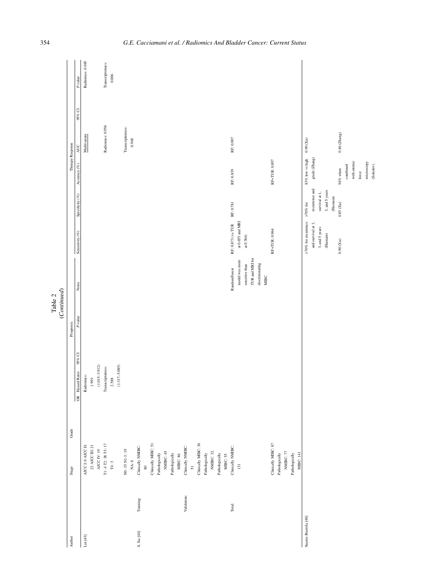|                                     |                                              |                            | (Continued)<br>Table 2 |                 |                        |                     |                                                            |                      |        |                  |
|-------------------------------------|----------------------------------------------|----------------------------|------------------------|-----------------|------------------------|---------------------|------------------------------------------------------------|----------------------|--------|------------------|
| Author                              | Grade<br>Stage                               |                            | Prognosis              |                 |                        |                     | Therapy Response                                           |                      |        |                  |
|                                     |                                              | 95% CI<br>OR Hazard Ratio  | P-value                | Notes           | Sensitivity $(\%)$     | Specificity $(\%)$  | Accuracy $(\%)$                                            | <b>AUC</b>           | 95% CI | $P$ -value       |
| $\operatorname{Lin}\left[43\right]$ | AJCC I: 0 AJCC II:                           | Radiomics:                 |                        |                 |                        |                     |                                                            | Multivariate         |        | Radiomics: 0.045 |
|                                     | $22$ AJCC III: $21$<br>$\triangle$ OC IV: 19 | $(1.015 - 3.912)$<br>1.993 |                        |                 |                        |                     |                                                            |                      |        |                  |
|                                     | $\mathbf{T1:4}\mathbf{T2:38}\mathbf{T3:17}$  | Transcriptomics:           |                        |                 |                        |                     |                                                            | Radiomics: 0.956     |        | Transcriptomics: |
|                                     | $T4:3$                                       | 2.588                      |                        |                 |                        |                     |                                                            |                      |        | 0.006            |
|                                     |                                              | $(1.317 - 5.085)$          |                        |                 |                        |                     |                                                            |                      |        |                  |
|                                     | NO: 35 N1-3: 19                              |                            |                        |                 |                        |                     |                                                            | Transcriptomics:     |        |                  |
|                                     | $NA: 8$                                      |                            |                        |                 |                        |                     |                                                            | 0.948                |        |                  |
| Training:<br>S. $Xu$ [44]           | Clinically NMIBC:                            |                            |                        |                 |                        |                     |                                                            |                      |        |                  |
|                                     | $\hbox{\small\ensuremath{\otimes}}$          |                            |                        |                 |                        |                     |                                                            |                      |        |                  |
|                                     | Clinically MIBC: 51                          |                            |                        |                 |                        |                     |                                                            |                      |        |                  |
|                                     | Pathologically                               |                            |                        |                 |                        |                     |                                                            |                      |        |                  |
|                                     | NMIBC: 45                                    |                            |                        |                 |                        |                     |                                                            |                      |        |                  |
|                                     | Pathologically                               |                            |                        |                 |                        |                     |                                                            |                      |        |                  |
|                                     | MIBC: 86                                     |                            |                        |                 |                        |                     |                                                            |                      |        |                  |
| Validation:                         | Clinically NMIBC:                            |                            |                        |                 |                        |                     |                                                            |                      |        |                  |
|                                     | $\overline{5}$                               |                            |                        |                 |                        |                     |                                                            |                      |        |                  |
|                                     | Clinically MIBC: 36                          |                            |                        |                 |                        |                     |                                                            |                      |        |                  |
|                                     | Pathologically                               |                            |                        |                 |                        |                     |                                                            |                      |        |                  |
|                                     | NMIBC: 32                                    |                            |                        |                 |                        |                     |                                                            |                      |        |                  |
|                                     | Pathologically                               |                            |                        |                 |                        |                     |                                                            |                      |        |                  |
|                                     | MIBC: 55                                     |                            |                        |                 |                        |                     |                                                            |                      |        |                  |
| Total:                              | Clinically NMIBC:                            |                            |                        | RandomForest    | RF: 0.873 (vs TUR      | RF: 0.781           | RF: 0.839                                                  | $\text{RF:}\,0.907$  |        |                  |
|                                     | $\overline{131}$                             |                            |                        | model was more  | at $0.655$ and MRI     |                     |                                                            |                      |        |                  |
|                                     |                                              |                            |                        | sensitive than  | at $0.764)$            |                     |                                                            |                      |        |                  |
|                                     |                                              |                            |                        | TUR and MRI for |                        |                     |                                                            |                      |        |                  |
|                                     |                                              |                            |                        | discriminating  |                        |                     |                                                            |                      |        |                  |
|                                     |                                              |                            |                        | MBC             |                        |                     |                                                            |                      |        |                  |
|                                     | Clinically MIBC: 87                          |                            |                        |                 | RF+TUR: 0.964          |                     | RF+TUR: 0.897                                              |                      |        |                  |
|                                     | Pathologically                               |                            |                        |                 |                        |                     |                                                            |                      |        |                  |
|                                     | NMIBC: 77                                    |                            |                        |                 |                        |                     |                                                            |                      |        |                  |
|                                     | Pathologically<br>MIBC: 141                  |                            |                        |                 |                        |                     |                                                            |                      |        |                  |
| Suarez-Ibarrola <sup>[48]</sup>     |                                              |                            |                        |                 | $>70\%$ for recurrence | ${>}70\%$ for       | 83% low vs high                                            | $0.90~(\mathrm{Xu})$ |        |                  |
|                                     |                                              |                            |                        |                 | and survival at 1,     | $\,$ recurrence and | $\operatorname*{grade}\left( \operatorname*{Zhang}\right)$ |                      |        |                  |
|                                     |                                              |                            |                        |                 | 3, and 5 years         | survival at 1,      |                                                            |                      |        |                  |
|                                     |                                              |                            |                        |                 | $(Hasanain)$           | 3, and 5 years      |                                                            |                      |        |                  |
|                                     |                                              |                            |                        |                 |                        | $(\mbox{Hasmin})$   |                                                            |                      |        |                  |
|                                     |                                              |                            |                        |                 | $0.90\;(\mathrm{Xu})$  | $0.85$ (Xu)         | 94% when                                                   | $0.86$ (Zhang)       |        |                  |
|                                     |                                              |                            |                        |                 |                        |                     | combined                                                   |                      |        |                  |
|                                     |                                              |                            |                        |                 |                        |                     | with atomic                                                |                      |        |                  |
|                                     |                                              |                            |                        |                 |                        |                     | force                                                      |                      |        |                  |
|                                     |                                              |                            |                        |                 |                        |                     | microscopy                                                 |                      |        |                  |
|                                     |                                              |                            |                        |                 |                        |                     | (Sokobv)                                                   |                      |        |                  |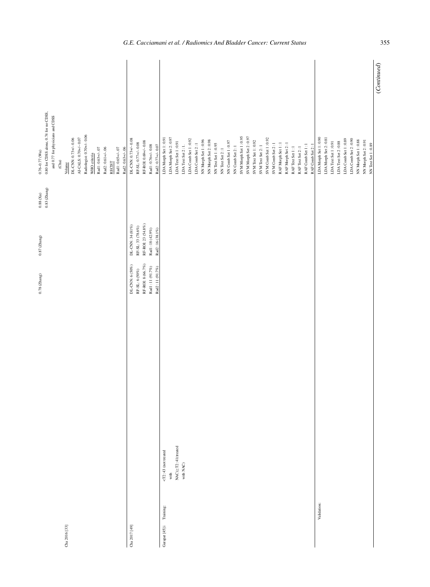| 0.80 for CDSS alone, 0.74 for no CDSS,<br>and 0.77 for physicians and CDSS<br>$0.76 - 0.77$ (Wu)<br>$_{\rm (Cha)}$ | DL-CNN: 0.73+/-0.06<br>Volume | AI-CALS: 0.70+/-0.07 | Radiologist: 0.70+/-0.06 | WHO critria | Rad1:0.63+/-.07 | Rad2: 0.61+/-.06 | <b>RECIST</b> | $\mbox{Rad1:0.65+/-.07}$ | Rad2: 0.63+/-.06 | DL-CNN: 0.73+/-0.08 | $RF-SL: 0.77 + l - 0.08$ | RF-ROI: 0.69+/-0.08    | $\rm Rad1:0.76\#/-0.08$            | Rad2:0.77+/-0.07                  | LDA Morph Set 1:0.91     | LDA Morph Set 2:0.97 | ${\rm LDA}$ Text Set $1$ : $0.91$ | LDA Text Set $2:1.$ | LDA Comb Set 1:0.92 | LDA Comb Set 2:1 | NN Morph Set 1:0.96 | NN Morph Set 2:0.98 | NN Text Set 1:0.95 | NN Text Set 2:1 | NN Comb Set 1:0.97 | NN Comb Set 2: 1 | SVM Morph Set 1:0.95 |  | SVM Morph Set 2:0.97 | SVM Text Set 1:0.92 | SVM Text Set 2:1 | SVM Comb Set 1:0.92<br>SVM Comb Set 2:1 | RAF Morph Set 1:1 | RAF Morph Set 2:1 | RAFText Set 1:1 | RAFText Set 2:1 | RAF Comb Set 1:1<br>RAF Comb Set 2:1 | LDA Morph Set 1:0.90 | LDA Morph Set 2:0.81 | ${\rm LDA}$ Text Set $1$ : $0.91$ | LDA Text Set 2:0.88 | LDA Comb Set 1:0.89 | LDA Comb Set 2:0.90 | NN Morph Set 1:0.88<br>NN Morph Set 2:0.91 |
|--------------------------------------------------------------------------------------------------------------------|-------------------------------|----------------------|--------------------------|-------------|-----------------|------------------|---------------|--------------------------|------------------|---------------------|--------------------------|------------------------|------------------------------------|-----------------------------------|--------------------------|----------------------|-----------------------------------|---------------------|---------------------|------------------|---------------------|---------------------|--------------------|-----------------|--------------------|------------------|----------------------|--|----------------------|---------------------|------------------|-----------------------------------------|-------------------|-------------------|-----------------|-----------------|--------------------------------------|----------------------|----------------------|-----------------------------------|---------------------|---------------------|---------------------|--------------------------------------------|
| $0.83$ (Zhang)<br>$0.88$ (Xu)<br>$0.87$ (Zhang)                                                                    |                               |                      |                          |             |                 |                  |               |                          |                  | DL-CNN: 34 (81%)    | RF-SL: 33 (78.6%)        | RF-ROI: 23 (54.8%)     | Radl: 18 $(42.9\%)$                | $\operatorname{Rad2}:16~(38.1\%)$ |                          |                      |                                   |                     |                     |                  |                     |                     |                    |                 |                    |                  |                      |  |                      |                     |                  |                                         |                   |                   |                 |                 |                                      |                      |                      |                                   |                     |                     |                     |                                            |
| $0.78$ ( $\Delta$ ang)                                                                                             |                               |                      |                          |             |                 |                  |               |                          |                  | DL-CNN: 6 (50%)     | RF-SL: 6 (50%)           | RF-ROI: $8$ $(66.7\%)$ | $\operatorname{Radi}:11\,(91.7\%)$ | $\operatorname{Rad2:11~(91.7\%)}$ |                          |                      |                                   |                     |                     |                  |                     |                     |                    |                 |                    |                  |                      |  |                      |                     |                  |                                         |                   |                   |                 |                 |                                      |                      |                      |                                   |                     |                     |                     |                                            |
|                                                                                                                    |                               |                      |                          |             |                 |                  |               |                          |                  |                     |                          |                        |                                    |                                   |                          |                      |                                   |                     |                     |                  |                     |                     |                    |                 |                    |                  |                      |  |                      |                     |                  |                                         |                   |                   |                 |                 |                                      |                      |                      |                                   |                     |                     |                     |                                            |
|                                                                                                                    |                               |                      |                          |             |                 |                  |               |                          |                  |                     |                          |                        |                                    |                                   | $<$ T2:43 (not treated   | with                 | NAC)<br><br>2:41<br>(treated      | with NAC)           |                     |                  |                     |                     |                    |                 |                    |                  |                      |  |                      |                     |                  |                                         |                   |                   |                 |                 |                                      |                      |                      |                                   |                     |                     |                     |                                            |
|                                                                                                                    | Cha 2016 [33]                 |                      |                          |             |                 |                  |               |                          |                  | Cha 2017 [49]       |                          |                        |                                    |                                   | Garapat [45] i Training: |                      |                                   |                     |                     |                  |                     |                     |                    |                 |                    |                  |                      |  |                      |                     |                  |                                         |                   |                   |                 |                 |                                      | Validation:          |                      |                                   |                     |                     |                     |                                            |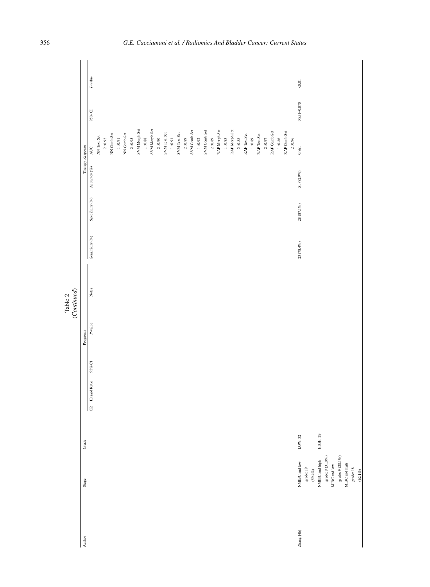|                                   |          |                           |            | ${\bf Table ~2} \\ (Continued)$ |                 |                 |                  |                        |                 |            |
|-----------------------------------|----------|---------------------------|------------|---------------------------------|-----------------|-----------------|------------------|------------------------|-----------------|------------|
| ${\bf S} {\bf u} {\bf g} {\bf c}$ | Grade    |                           | Prognosis  |                                 |                 |                 | Therapy Response |                        |                 |            |
|                                   |          | 95% CI<br>OR Hazard Ratio | $P$ -value | Notes                           | Sensitivity (%) | Specificity (%) | Accuracy $(\%)$  | <b>AUC</b>             | 95% CI          | $P$ -value |
|                                   |          |                           |            |                                 |                 |                 |                  | NN Text Set            |                 |            |
|                                   |          |                           |            |                                 |                 |                 |                  | 2:0.92                 |                 |            |
|                                   |          |                           |            |                                 |                 |                 |                  | NN Comb Set            |                 |            |
|                                   |          |                           |            |                                 |                 |                 |                  | 1:0.91                 |                 |            |
|                                   |          |                           |            |                                 |                 |                 |                  | NN Comb Set            |                 |            |
|                                   |          |                           |            |                                 |                 |                 |                  | 2:0.95                 |                 |            |
|                                   |          |                           |            |                                 |                 |                 |                  | SVM Morph Set          |                 |            |
|                                   |          |                           |            |                                 |                 |                 |                  | $1:0.88$               |                 |            |
|                                   |          |                           |            |                                 |                 |                 |                  | SVM Morph Set          |                 |            |
|                                   |          |                           |            |                                 |                 |                 |                  | 2:0.90                 |                 |            |
|                                   |          |                           |            |                                 |                 |                 |                  | SVM Text Set           |                 |            |
|                                   |          |                           |            |                                 |                 |                 |                  | 1:0.91                 |                 |            |
|                                   |          |                           |            |                                 |                 |                 |                  | SVM Text Set           |                 |            |
|                                   |          |                           |            |                                 |                 |                 |                  | 2:0.89                 |                 |            |
|                                   |          |                           |            |                                 |                 |                 |                  | SVM Comb Set           |                 |            |
|                                   |          |                           |            |                                 |                 |                 |                  | 1:0.92                 |                 |            |
|                                   |          |                           |            |                                 |                 |                 |                  | SVM Comb Set           |                 |            |
|                                   |          |                           |            |                                 |                 |                 |                  | 2:0.89                 |                 |            |
|                                   |          |                           |            |                                 |                 |                 |                  | RAF Morph Set          |                 |            |
|                                   |          |                           |            |                                 |                 |                 |                  | $1:0.83$               |                 |            |
|                                   |          |                           |            |                                 |                 |                 |                  | RAF Morph Set          |                 |            |
|                                   |          |                           |            |                                 |                 |                 |                  | 2:0.88                 |                 |            |
|                                   |          |                           |            |                                 |                 |                 |                  | RAF Text Set           |                 |            |
|                                   |          |                           |            |                                 |                 |                 |                  | 1:0.89                 |                 |            |
|                                   |          |                           |            |                                 |                 |                 |                  | RAF Text Set           |                 |            |
|                                   |          |                           |            |                                 |                 |                 |                  | 2:0.97                 |                 |            |
|                                   |          |                           |            |                                 |                 |                 |                  | RAF Comb Set           |                 |            |
|                                   |          |                           |            |                                 |                 |                 |                  | 1:0.86                 |                 |            |
|                                   |          |                           |            |                                 |                 |                 |                  | RAF Comb Set<br>2:0.96 |                 |            |
| NMIBC and low                     | LOW: 32  |                           |            |                                 | $23\ (78.4\%)$  | $28\ (87.1\%)$  | 51 (82.9%)       | $\!.861$               | $0.851 - 0.870$ | $-0.01$    |
| grade: 19                         |          |                           |            |                                 |                 |                 |                  |                        |                 |            |
| $(59.4\%)$                        |          |                           |            |                                 |                 |                 |                  |                        |                 |            |
| NMIBC and high                    | HIGH: 29 |                           |            |                                 |                 |                 |                  |                        |                 |            |
| grade: 9 $(31.0\%)$               |          |                           |            |                                 |                 |                 |                  |                        |                 |            |
| MIBC and low                      |          |                           |            |                                 |                 |                 |                  |                        |                 |            |
| grade: 9 $(28.1\%)$               |          |                           |            |                                 |                 |                 |                  |                        |                 |            |
| MIBC and high                     |          |                           |            |                                 |                 |                 |                  |                        |                 |            |
| $\emph{grade}$ : $18$             |          |                           |            |                                 |                 |                 |                  |                        |                 |            |
| $(62.1\%)$                        |          |                           |            |                                 |                 |                 |                  |                        |                 |            |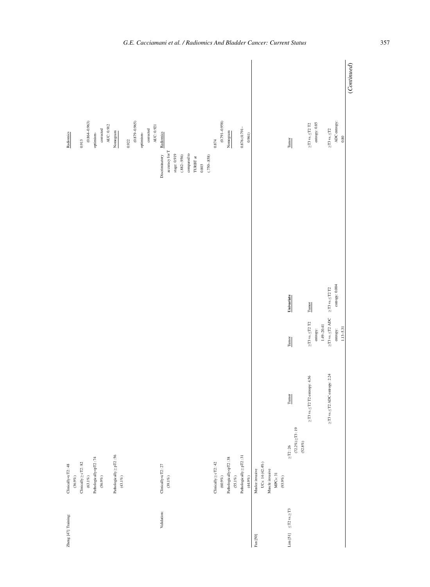| Zheng [47] Training:                                                                          | Clinically <ct2:48< td=""><td></td><td></td><td></td><td>Radiomics</td></ct2:48<>                  |                                           |                                                    |                                                     | Radiomics                     |
|-----------------------------------------------------------------------------------------------|----------------------------------------------------------------------------------------------------|-------------------------------------------|----------------------------------------------------|-----------------------------------------------------|-------------------------------|
|                                                                                               | $(36.9\%)$                                                                                         |                                           |                                                    |                                                     |                               |
|                                                                                               | $Clinically \ge cT2:82$                                                                            |                                           |                                                    |                                                     | 0.913                         |
|                                                                                               | $(63.1\%)$                                                                                         |                                           |                                                    |                                                     | $(0.864 - 0.963)$             |
|                                                                                               | Pathologically <pt2:74< td=""><td></td><td></td><td></td><td>optimism-</td></pt2:74<>              |                                           |                                                    |                                                     | optimism-                     |
|                                                                                               | $(56.9\%)$                                                                                         |                                           |                                                    |                                                     | $\emph{corrected}$            |
|                                                                                               |                                                                                                    |                                           |                                                    |                                                     | AUC: 0.912                    |
|                                                                                               | Pathologically $\geq pT2:56$                                                                       |                                           |                                                    |                                                     | Nomogram                      |
|                                                                                               | $(43.1\%)$                                                                                         |                                           |                                                    |                                                     |                               |
|                                                                                               |                                                                                                    |                                           |                                                    |                                                     | 0.922                         |
|                                                                                               |                                                                                                    |                                           |                                                    |                                                     | $(0.879 - 0.965)$             |
|                                                                                               |                                                                                                    |                                           |                                                    |                                                     | optimism-                     |
|                                                                                               |                                                                                                    |                                           |                                                    |                                                     | $\operatorname{corrected}$    |
|                                                                                               |                                                                                                    |                                           |                                                    |                                                     | AUC: 0.921                    |
| Validation:                                                                                   | Clinically<br><ct2:27< td=""><td></td><td></td><td>Discriminatory</td><td>Radiomics</td></ct2:27<> |                                           |                                                    | Discriminatory                                      | Radiomics                     |
|                                                                                               | $(39.1\%)$                                                                                         |                                           |                                                    | accuracy for $\mathbb T$                            |                               |
|                                                                                               |                                                                                                    |                                           |                                                    | stage: $0.919$                                      |                               |
|                                                                                               |                                                                                                    |                                           |                                                    | $(.882 - .956)$                                     |                               |
|                                                                                               |                                                                                                    |                                           |                                                    | $\operatorname{compared}$ to                        |                               |
|                                                                                               |                                                                                                    |                                           |                                                    | TURBT at                                            |                               |
|                                                                                               |                                                                                                    |                                           |                                                    | $\rm 0.803$                                         |                               |
|                                                                                               |                                                                                                    |                                           |                                                    | $(.750 - .858)$                                     |                               |
|                                                                                               | $Clinically \geq cT2:42$                                                                           |                                           |                                                    |                                                     | 0.874                         |
|                                                                                               | $(60.9\%)$                                                                                         |                                           |                                                    |                                                     | $(0.791 - 0.958)$             |
|                                                                                               | Pathologically <pt2:38< td=""><td></td><td></td><td></td><td>Nomogram</td></pt2:38<>               |                                           |                                                    |                                                     | Nomogram                      |
|                                                                                               | $(55.1\%)$                                                                                         |                                           |                                                    |                                                     |                               |
|                                                                                               | Pathologically $\geq$ pT2 : 31                                                                     |                                           |                                                    |                                                     | $0.876\ (0.791 -$             |
|                                                                                               | $(44.9\%)$                                                                                         |                                           |                                                    |                                                     | 0.961)                        |
| $\ensuremath{\mathsf{Fan}}\xspace[50]$                                                        | Muslee invasive                                                                                    |                                           |                                                    |                                                     |                               |
|                                                                                               | UCs: 14 (42.4%)                                                                                    |                                           |                                                    |                                                     |                               |
|                                                                                               | Muscle invasive                                                                                    |                                           |                                                    |                                                     |                               |
|                                                                                               | MPCs: 31                                                                                           |                                           |                                                    |                                                     |                               |
|                                                                                               | $(93.9\%)$                                                                                         |                                           |                                                    |                                                     |                               |
| $\begin{array}{ll} \text{Lim [51]} & \leq \!\! \text{I2 vs.} \geq \!\! \text{I3} \end{array}$ | $\geq$ T2:26                                                                                       | Tumor                                     | Tumor                                              | Univariate                                          | Tumor                         |
|                                                                                               | $(72.2\%) \geq 13:19$                                                                              |                                           |                                                    |                                                     |                               |
|                                                                                               | $(52.8\%)$                                                                                         |                                           |                                                    |                                                     |                               |
|                                                                                               |                                                                                                    | $\geq$ T3 vs. $\leq$ T2 T2 entropy: 4.56  | $\geq$ T3 vs.<br>$\leq$ T2 T2                      | Tumor                                               | $\geq$ T3 vs.<br>$\leq$ T2 T2 |
|                                                                                               |                                                                                                    |                                           | entropy:                                           |                                                     | $\text{entropy: } 0.85$       |
|                                                                                               |                                                                                                    |                                           | $1.49 - 20.41$                                     |                                                     |                               |
|                                                                                               |                                                                                                    | $\geq$ T3 vs. $\leq$ T2 ADC entropy: 2.24 | ${\geq}\texttt{TS}$ vs.<br>${\leq}\texttt{T2}$ ADC | ${\geq}\texttt{TS}\texttt{vs.}{\leq}\texttt{TZ}$ T2 | ${\geq}T3$ vs. ${\leq}T2$     |
|                                                                                               |                                                                                                    |                                           | entropy:                                           | entropy: 0.004                                      | ADC entropy:                  |
|                                                                                               |                                                                                                    |                                           | $1.13 - 5.31$                                      |                                                     | $\rm 0.80$                    |
|                                                                                               |                                                                                                    |                                           |                                                    |                                                     | (Continued)                   |

## *G.E. Cacciamani et al. / Radiomics And Bladder Cancer: Current Status* 357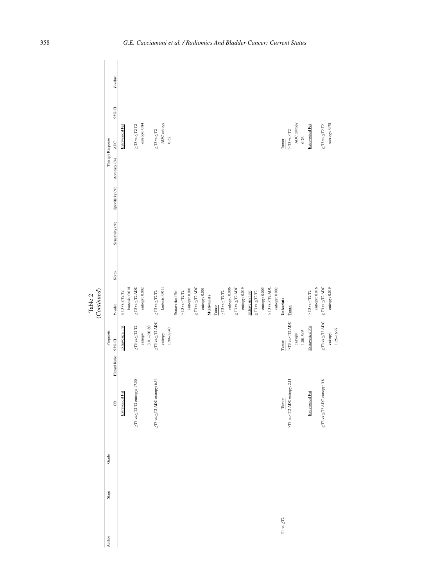|                        |                   | $P$ -value                                  |                            |                 |                                           |                  |                 |                                                                                                                                                                                                                                                                                                                                                                                                                                                                                    |                 |                |                  |                            |                |                             |                |              |       |                                   |                |                                 |               |                  |                            |                |                             |                |                    |                                                                                                                                                                                                                                        |              |               |                            |                       |                                             |                |                |
|------------------------|-------------------|---------------------------------------------|----------------------------|-----------------|-------------------------------------------|------------------|-----------------|------------------------------------------------------------------------------------------------------------------------------------------------------------------------------------------------------------------------------------------------------------------------------------------------------------------------------------------------------------------------------------------------------------------------------------------------------------------------------------|-----------------|----------------|------------------|----------------------------|----------------|-----------------------------|----------------|--------------|-------|-----------------------------------|----------------|---------------------------------|---------------|------------------|----------------------------|----------------|-----------------------------|----------------|--------------------|----------------------------------------------------------------------------------------------------------------------------------------------------------------------------------------------------------------------------------------|--------------|---------------|----------------------------|-----------------------|---------------------------------------------|----------------|----------------|
|                        | Therapy Response  | 95% CI<br><b>AUC</b><br>Асс<br>uracy $(\%)$ | Extravesical Fat           |                 | $\geq$ T3 vs.<br>$\leq$ T2 T2             | entropy: 0.84    |                 | $\geq$ T3 vs.<br>$\leq$ T2                                                                                                                                                                                                                                                                                                                                                                                                                                                         | ADC entropy:    | $0.82\,$       |                  |                            |                |                             |                |              |       |                                   |                |                                 |               |                  |                            |                |                             |                | Tumor              | ${\geq}T3$ vs.<br>${\leq}T2$                                                                                                                                                                                                           | ADC entropy: | $0.76$        | Extravesical Fat           |                       | $\geq$ T3 vs. $\leq$ T2 T2                  | entropy: 0.78  |                |
|                        |                   | Specificity $(\%)$<br>Sensitivity (%)       |                            |                 |                                           |                  |                 |                                                                                                                                                                                                                                                                                                                                                                                                                                                                                    |                 |                |                  |                            |                |                             |                |              |       |                                   |                |                                 |               |                  |                            |                |                             |                |                    |                                                                                                                                                                                                                                        |              |               |                            |                       |                                             |                |                |
| (Continued)<br>Table 2 |                   | Notes<br>$P$ -value                         | $\geq$ T3 vs. $\leq$ T2 T2 | kurtosis: 0.018 | ${\geq} T3$ vs. ${\leq} T2$ ADC           | entropy: $0.002$ |                 | $\geq$ T3 vs. $\leq$ T2 T2                                                                                                                                                                                                                                                                                                                                                                                                                                                         | kurtosis: 0.011 |                | Extravesical Fat | $\geq$ T3 vs. $\leq$ T2 T2 | entropy: 0.001 | $\geq$ T3 vs. $\leq$ T2 ADC | entropy: 0.001 | Multivariate | Tumor | ${\geq}13$ vs. ${\leq}12$<br>$12$ | entropy: 0.006 | ${\geq} T3$ vs. ${\leq} T2$ ADC | ептору: 0.019 | Extravesical Fat | $\geq$ T3 vs. $\leq$ T2 T2 | entropy: 0.005 | $\geq$ T3 vs. $\leq$ T2 ADC | entropy: 0.002 | Univariate         | Tumor                                                                                                                                                                                                                                  |              |               | $\geq$ T3 vs. $\leq$ T2 T2 | $\,$ entropy: $0.016$ | $\geq$ T3 vs. $\leq$ T2 ADC                 | entropy: 0.019 |                |
|                        | Prognosis         | 95% CI<br>Hazard Ratio                      | Extravesical Fat           |                 | $\geq$ T3 vs. $\leq$ T2 T2                | entropy:         | $3.01 - 200.80$ | $\geq$ T3 vs.<br>$\leq$ T2 ADC                                                                                                                                                                                                                                                                                                                                                                                                                                                     | entropy:        | $1.90 - 32.40$ |                  |                            |                |                             |                |              |       |                                   |                |                                 |               |                  |                            |                |                             |                | Tumor              | $\geq$ T3 vs. $\leq$ T2 ADC                                                                                                                                                                                                            | entropy:     | $1.08 - 5.03$ | Extravesical Fat           |                       | $\geq$ T3 vs.<br>$\leq$ T2 ADC              | entropy:       | $1.25 - 16.97$ |
|                        |                   | $\approx$                                   | Extravesical Fat           |                 | $\geq$ T3 vs. $\leq$ T2 T2 entropy: 17.50 |                  |                 | ≥T3 vs. <t2 6.54<="" adc="" entropy:="" td=""><td></td><td></td><td></td><td></td><td></td><td></td><td></td><td></td><td></td><td></td><td></td><td></td><td></td><td></td><td></td><td></td><td></td><td></td><td>Tumor</td><td>≥T3 vs. <t2 2.11<="" adc="" entropy:="" td=""><td></td><td></td><td>Extravesical Fat</td><td></td><td><math display="inline">\geq</math> T3 vs.<br/><math display="inline">\leq</math> T2 ADC entropy: 3.8</td><td></td><td></td></t2></td></t2> |                 |                |                  |                            |                |                             |                |              |       |                                   |                |                                 |               |                  |                            |                |                             |                | Tumor              | ≥T3 vs. <t2 2.11<="" adc="" entropy:="" td=""><td></td><td></td><td>Extravesical Fat</td><td></td><td><math display="inline">\geq</math> T3 vs.<br/><math display="inline">\leq</math> T2 ADC entropy: 3.8</td><td></td><td></td></t2> |              |               | Extravesical Fat           |                       | $\geq$ T3 vs.<br>$\leq$ T2 ADC entropy: 3.8 |                |                |
|                        | Grade             |                                             |                            |                 |                                           |                  |                 |                                                                                                                                                                                                                                                                                                                                                                                                                                                                                    |                 |                |                  |                            |                |                             |                |              |       |                                   |                |                                 |               |                  |                            |                |                             |                |                    |                                                                                                                                                                                                                                        |              |               |                            |                       |                                             |                |                |
|                        | $S^{\text{tage}}$ |                                             |                            |                 |                                           |                  |                 |                                                                                                                                                                                                                                                                                                                                                                                                                                                                                    |                 |                |                  |                            |                |                             |                |              |       |                                   |                |                                 |               |                  |                            |                |                             |                |                    |                                                                                                                                                                                                                                        |              |               |                            |                       |                                             |                |                |
|                        | Author            |                                             |                            |                 |                                           |                  |                 |                                                                                                                                                                                                                                                                                                                                                                                                                                                                                    |                 |                |                  |                            |                |                             |                |              |       |                                   |                |                                 |               |                  |                            |                |                             |                | $T1$ vs. $\geq T2$ |                                                                                                                                                                                                                                        |              |               |                            |                       |                                             |                |                |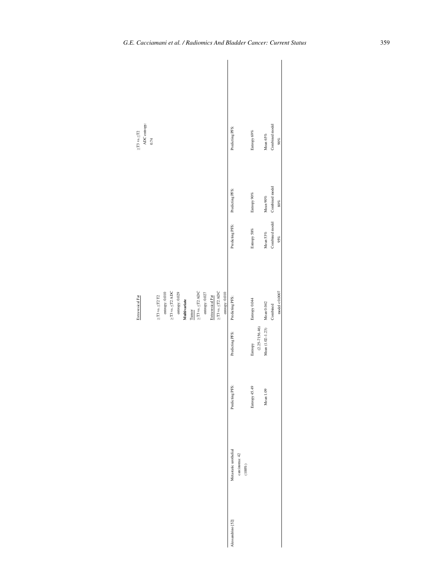| ${\geq}T3$ vs. ${\leq}T2$ | ADC entropy:<br>0.74 |                            |                  |                                |                  |              |       |                                    |                  |                  |                                |                           | Predicting PFS:       |                            | Entropy 69%   |                    | Mean 65%         | Combined model | $90\%$                  |
|---------------------------|----------------------|----------------------------|------------------|--------------------------------|------------------|--------------|-------|------------------------------------|------------------|------------------|--------------------------------|---------------------------|-----------------------|----------------------------|---------------|--------------------|------------------|----------------|-------------------------|
|                           |                      |                            |                  |                                |                  |              |       |                                    |                  |                  |                                |                           | Predicting PFS:       |                            | Entropy 90%   |                    | Mean $90\%$      | Combined model | $80\%$                  |
|                           |                      |                            |                  |                                |                  |              |       |                                    |                  |                  |                                |                           | Predicting PFS:       |                            | Entropy 58%   |                    | Mean 53%         | Combined model | 95%                     |
| Extravesical Fat          |                      | $\geq$ T3 vs. $\leq$ T2 T2 | entropy: $0.010$ | $\geq$ T3 vs.<br>$\leq$ T2 ADC | entropy: $0.029$ | Multivariate | Tumor | ${\geq} T3$ vs.<br>${\leq} T2$ ADC | entropy: $0.027$ | Extravesical Fat | $\geq$ T3 vs.<br>$\leq$ T2 ADC | $\frac{envopy: 0.010}{1}$ | Predicting PFS:       |                            | Entropy 0.044 |                    | Mean 0.042       | Combined       | $\text{model} < 0.0007$ |
|                           |                      |                            |                  |                                |                  |              |       |                                    |                  |                  |                                |                           | Predicting PFS:       |                            | Entropy       | $(2.25 - 7156.46)$ | Mean (1.02-1.23) |                |                         |
|                           |                      |                            |                  |                                |                  |              |       |                                    |                  |                  |                                |                           | Predicting PFS:       |                            | Entropy 45.49 |                    | Mean 1.09        |                |                         |
|                           |                      |                            |                  |                                |                  |              |       |                                    |                  |                  |                                |                           | Metastatic urothelial | carcinoma: 42<br>$(100\%)$ |               |                    |                  |                |                         |
|                           |                      |                            |                  |                                |                  |              |       |                                    |                  |                  |                                |                           | Alessandrino [52]     |                            |               |                    |                  |                |                         |

 $\overline{\phantom{a}}$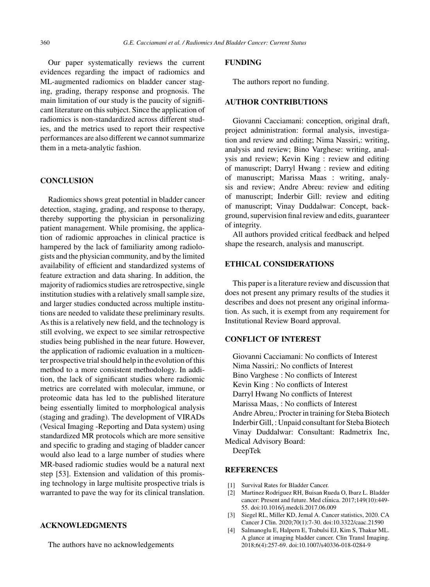Our paper systematically reviews the current evidences regarding the impact of radiomics and ML-augmented radiomics on bladder cancer staging, grading, therapy response and prognosis. The main limitation of our study is the paucity of significant literature on this subject. Since the application of radiomics is non-standardized across different studies, and the metrics used to report their respective performances are also different we cannot summarize them in a meta-analytic fashion.

## **CONCLUSION**

Radiomics shows great potential in bladder cancer detection, staging, grading, and response to therapy, thereby supporting the physician in personalizing patient management. While promising, the application of radiomic approaches in clinical practice is hampered by the lack of familiarity among radiologists and the physician community, and by the limited availability of efficient and standardized systems of feature extraction and data sharing. In addition, the majority of radiomics studies are retrospective, single institution studies with a relatively small sample size, and larger studies conducted across multiple institutions are needed to validate these preliminary results. As this is a relatively new field, and the technology is still evolving, we expect to see similar retrospective studies being published in the near future. However, the application of radiomic evaluation in a multicenter prospective trial should help in the evolution of this method to a more consistent methodology. In addition, the lack of significant studies where radiomic metrics are correlated with molecular, immune, or proteomic data has led to the published literature being essentially limited to morphological analysis (staging and grading). The development of VIRADs (Vesical Imaging -Reporting and Data system) using standardized MR protocols which are more sensitive and specific to grading and staging of bladder cancer would also lead to a large number of studies where MR-based radiomic studies would be a natural next step [53]. Extension and validation of this promising technology in large multisite prospective trials is warranted to pave the way for its clinical translation.

## **ACKNOWLEDGMENTS**

The authors have no acknowledgements

# **FUNDING**

The authors report no funding.

# **AUTHOR CONTRIBUTIONS**

Giovanni Cacciamani: conception, original draft, project administration: formal analysis, investigation and review and editing; Nima Nassiri,: writing, analysis and review; Bino Varghese: writing, analysis and review; Kevin King : review and editing of manuscript; Darryl Hwang : review and editing of manuscript; Marissa Maas : writing, analysis and review; Andre Abreu: review and editing of manuscript; Inderbir Gill: review and editing of manuscript; Vinay Duddalwar: Concept, background, supervision final review and edits, guaranteer of integrity.

All authors provided critical feedback and helped shape the research, analysis and manuscript.

# **ETHICAL CONSIDERATIONS**

This paper is a literature review and discussion that does not present any primary results of the studies it describes and does not present any original information. As such, it is exempt from any requirement for Institutional Review Board approval.

# **CONFLICT OF INTEREST**

Giovanni Cacciamani: No conflicts of Interest Nima Nassiri,: No conflicts of Interest Bino Varghese : No conflicts of Interest Kevin King : No conflicts of Interest Darryl Hwang No conflicts of Interest Marissa Maas, : No conflicts of Interest Andre Abreu,: Procter in training for Steba Biotech Inderbir Gill, : Unpaid consultant for Steba Biotech Vinay Duddalwar: Consultant: Radmetrix Inc, Medical Advisory Board:

DeepTek

## **REFERENCES**

- [1] Survival Rates for Bladder Cancer.
- [2] Martinez Rodriguez RH, Buisan Rueda O, Ibarz L. Bladder cancer: Present and future. Med clinica. 2017;149(10):449-55. doi:10.1016/j.medcli.2017.06.009
- [3] Siegel RL, Miller KD, Jemal A. Cancer statistics, 2020. CA Cancer J Clin. 2020;70(1):7-30. doi:10.3322/caac.21590
- [4] Salmanoglu E, Halpern E, Trabulsi EJ, Kim S, Thakur ML. A glance at imaging bladder cancer. Clin Transl Imaging. 2018;6(4):257-69. doi:10.1007/s40336-018-0284-9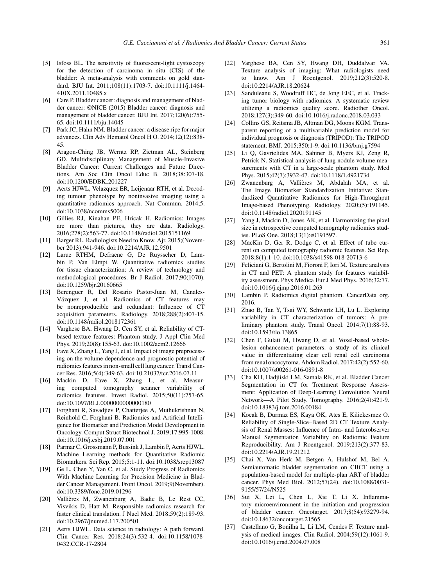- [5] Isfoss BL. The sensitivity of fluorescent-light cystoscopy for the detection of carcinoma in situ (CIS) of the bladder: A meta-analysis with comments on gold standard. BJU Int. 2011;108(11):1703-7. doi:10.1111/j.1464- 410X.2011.10485.x
- [6] Care P. Bladder cancer: diagnosis and management of bladder cancer: ©NICE (2015) Bladder cancer: diagnosis and management of bladder cancer. BJU Int. 2017;120(6):755- 65. doi:10.1111/bju.14045
- [7] Park JC, Hahn NM. Bladder cancer: a disease ripe for major advances. Clin Adv Hematol Oncol H O. 2014;12(12):838- 45.
- [8] Aragon-Ching JB, Werntz RP, Zietman AL, Steinberg GD. Multidisciplinary Management of Muscle-Invasive Bladder Cancer: Current Challenges and Future Directions. Am Soc Clin Oncol Educ B. 2018;38:307-18. doi:10.1200/EDBK 201227
- [9] Aerts HJWL, Velazquez ER, Leijenaar RTH, et al. Decoding tumour phenotype by noninvasive imaging using a quantitative radiomics approach. Nat Commun. 2014;5. doi:10.1038/ncomms5006
- [10] Gillies RJ, Kinahan PE, Hricak H. Radiomics: Images are more than pictures, they are data. Radiology. 2016;278(2):563-77. doi:10.1148/radiol.2015151169
- [11] Barger RL. Radiologists Need to Know. Ajr. 2015;(November 2013):941-946. doi:10.2214/AJR.12.9501
- [12] Larue RTHM, Defraene G, De Ruysscher D, Lambin P, Van Elmpt W. Quantitative radiomics studies for tissue characterization: A review of technology and methodological procedures. Br J Radiol. 2017;90(1070). doi:10.1259/bjr.20160665
- [13] Berenguer R, Del Rosario Pastor-Juan M, Canales-Vázquez J, et al. Radiomics of CT features may be nonreproducible and redundant: Influence of CT acquisition parameters. Radiology. 2018;288(2):407-15. doi:10.1148/radiol.2018172361
- [14] Varghese BA, Hwang D, Cen SY, et al. Reliability of CTbased texture features: Phantom study. J Appl Clin Med Phys. 2019;20(8):155-63. doi:10.1002/acm2.12666
- [15] Fave X, Zhang L, Yang J, et al. Impact of image preprocessing on the volume dependence and prognostic potential of radiomics features in non-small cell lung cancer. Transl Cancer Res. 2016;5(4):349-63. doi:10.21037/tcr.2016.07.11
- [16] Mackin D, Fave X, Zhang L, et al. Measuring computed tomography scanner variability of radiomics features. Invest Radiol. 2015;50(11):757-65. doi:10.1097/RLI.0000000000000180
- [17] Forghani R, Savadjiev P, Chatterjee A, Muthukrishnan N, Reinhold C, Forghani B. Radiomics and Artificial Intelligence for Biomarker and Prediction Model Development in Oncology. Comput Struct Biotechnol J. 2019;17:995-1008. doi:10.1016/j.csbj.2019.07.001
- [18] Parmar C, Grossmann P, Bussink J, Lambin P, Aerts HJWL. Machine Learning methods for Quantitative Radiomic Biomarkers. Sci Rep. 2015;5:1-11. doi:10.1038/srep13087
- [19] Ge L, Chen Y, Yan C, et al. Study Progress of Radiomics With Machine Learning for Precision Medicine in Bladder Cancer Management. Front Oncol. 2019;9(November). doi:10.3389/fonc.2019.01296
- [20] Vallières M, Zwanenburg A, Badic B, Le Rest CC, Visvikis D, Hatt M. Responsible radiomics research for faster clinical translation. J Nucl Med. 2018;59(2):189-93. doi:10.2967/jnumed.117.200501
- [21] Aerts HJWL. Data science in radiology: A path forward. Clin Cancer Res. 2018;24(3):532-4. doi:10.1158/1078- 0432.CCR-17-2804
- [22] Varghese BA, Cen SY, Hwang DH, Duddalwar VA. Texture analysis of imaging: What radiologists need to know. Am J Roentgenol. 2019;212(3):520-8. doi:10.2214/AJR.18.20624
- [23] Sanduleanu S, Woodruff HC, de Jong EEC, et al. Tracking tumor biology with radiomics: A systematic review utilizing a radiomics quality score. Radiother Oncol. 2018;127(3):349-60. doi:10.1016/j.radonc.2018.03.033
- [24] Collins GS, Reitsma JB, Altman DG, Moons KGM. Transparent reporting of a multivariable prediction model for individual prognosis or diagnosis (TRIPOD): The TRIPOD statement. BMJ. 2015;350:1-9. doi:10.1136/bmj.g7594
- [25] Li Q, Gavrielides MA, Sahiner B, Myers KJ, Zeng R, Petrick N. Statistical analysis of lung nodule volume measurements with CT in a large-scale phantom study. Med Phys. 2015;42(7):3932-47. doi:10.1118/1.4921734
- [26] Zwanenburg A, Vallières M, Abdalah MA, et al. The Image Biomarker Standardization Initiative: Standardized Quantitative Radiomics for High-Throughput Image-based Phenotyping. Radiology. 2020;(5):191145. doi:10.1148/radiol.2020191145
- [27] Yang J, Mackin D, Jones AK, et al. Harmonizing the pixel size in retrospective computed tomography radiomics studies. PLoS One. 2018;13(1):e0191597.
- [28] MacKin D, Ger R, Dodge C, et al. Effect of tube current on computed tomography radiomic features. Sci Rep. 2018;8(1):1-10. doi:10.1038/s41598-018-20713-6
- [29] Feliciani G, Bertolini M, Fioroni F, Iori M. Texture analysis in CT and PET: A phantom study for features variability assessment. Phys Medica Eur J Med Phys. 2016;32:77. doi:10.1016/j.ejmp.2016.01.263
- [30] Lambin P. Radiomics digital phantom. CancerData org. 2016.
- [31] Zhao B, Tan Y, Tsai WY, Schwartz LH, Lu L. Exploring variability in CT characterization of tumors: A preliminary phantom study. Transl Oncol. 2014;7(1):88-93. doi:10.1593/tlo.13865
- [32] Chen F, Gulati M, Hwang D, et al. Voxel-based wholelesion enhancement parameters: a study of its clinical value in differentiating clear cell renal cell carcinoma from renal oncocytoma. Abdom Radiol. 2017;42(2):552-60. doi:10.1007/s00261-016-0891-8
- [33] Cha KH, Hadjiiski LM, Samala RK, et al. Bladder Cancer Segmentation in CT for Treatment Response Assessment: Application of Deep-Learning Convolution Neural Network—A Pilot Study. Tomography. 2016;2(4):421-9. doi:10.18383/j.tom.2016.00184
- [34] Kocak B, Durmaz ES, Kaya OK, Ates E, Kilickesmez O. Reliability of Single-Slice–Based 2D CT Texture Analysis of Renal Masses: Influence of Intra- and Interobserver Manual Segmentation Variability on Radiomic Feature Reproducibility. Am J Roentgenol. 2019;213(2):377-83. doi:10.2214/AJR.19.21212
- [35] Chai X, Van Herk M, Betgen A, Hulshof M, Bel A. Semiautomatic bladder segmentation on CBCT using a population-based model for multiple-plan ART of bladder cancer. Phys Med Biol. 2012;57(24). doi:10.1088/0031- 9155/57/24/N525
- [36] Sui X, Lei L, Chen L, Xie T, Li X. Inflammatory microenvironment in the initiation and progression of bladder cancer. Oncotarget. 2017;8(54):93279-94. doi:10.18632/oncotarget.21565
- [37] Castellano G, Bonilha L, Li LM, Cendes F. Texture analysis of medical images. Clin Radiol. 2004;59(12):1061-9. doi:10.1016/j.crad.2004.07.008